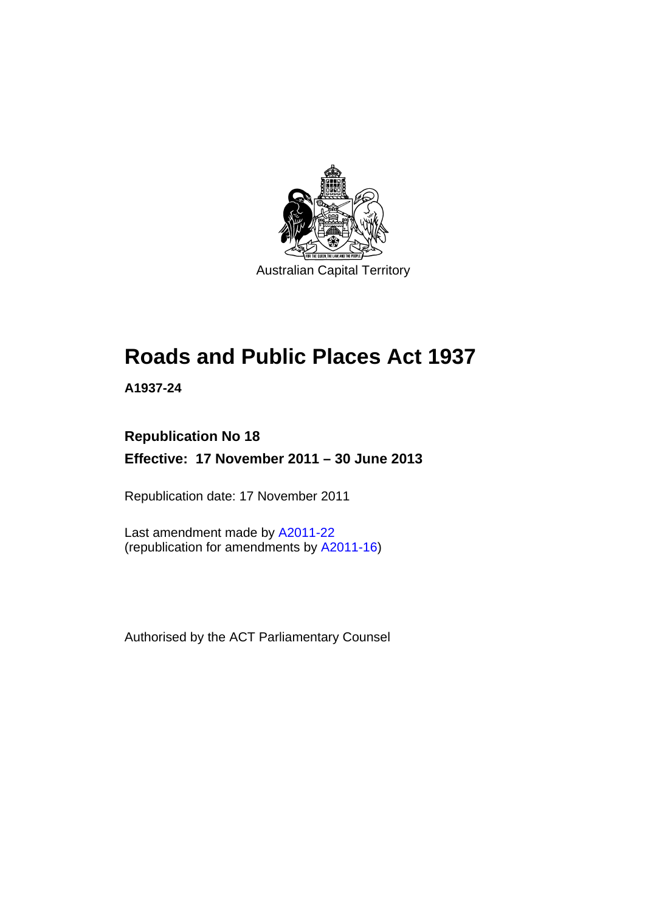

# **Roads and Public Places Act 1937**

**A1937-24** 

# **Republication No 18 Effective: 17 November 2011 – 30 June 2013**

Republication date: 17 November 2011

Last amendment made by [A2011-22](http://www.legislation.act.gov.au/a/2011-22) (republication for amendments by [A2011-16](http://www.legislation.act.gov.au/a/2011-16))

Authorised by the ACT Parliamentary Counsel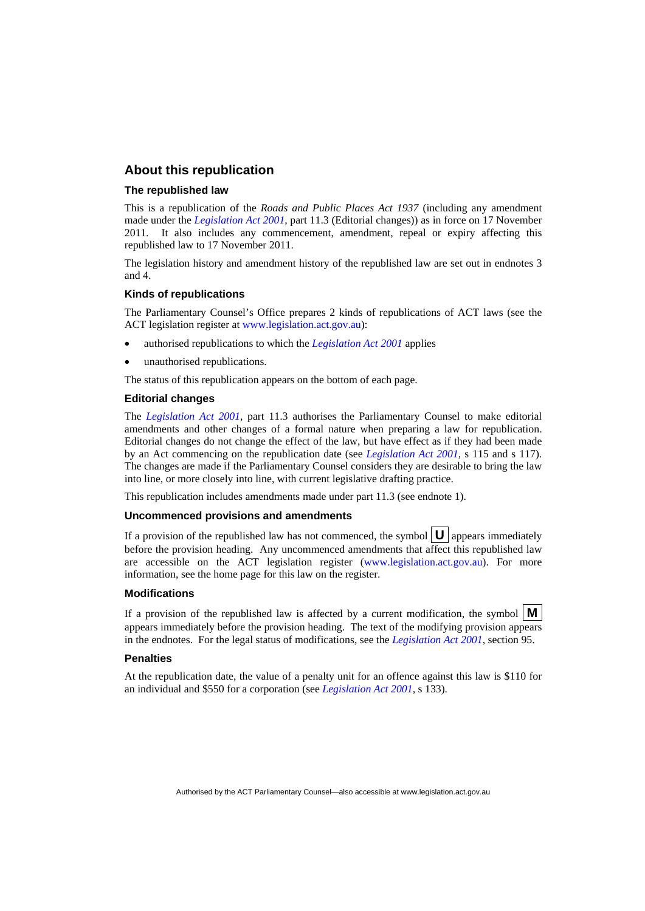## **About this republication**

#### **The republished law**

This is a republication of the *Roads and Public Places Act 1937* (including any amendment made under the *[Legislation Act 2001](http://www.legislation.act.gov.au/a/2001-14)*, part 11.3 (Editorial changes)) as in force on 17 November 2011*.* It also includes any commencement, amendment, repeal or expiry affecting this republished law to 17 November 2011.

The legislation history and amendment history of the republished law are set out in endnotes 3 and 4.

#### **Kinds of republications**

The Parliamentary Counsel's Office prepares 2 kinds of republications of ACT laws (see the ACT legislation register at [www.legislation.act.gov.au](http://www.legislation.act.gov.au/)):

- authorised republications to which the *[Legislation Act 2001](http://www.legislation.act.gov.au/a/2001-14)* applies
- unauthorised republications.

The status of this republication appears on the bottom of each page.

#### **Editorial changes**

The *[Legislation Act 2001](http://www.legislation.act.gov.au/a/2001-14)*, part 11.3 authorises the Parliamentary Counsel to make editorial amendments and other changes of a formal nature when preparing a law for republication. Editorial changes do not change the effect of the law, but have effect as if they had been made by an Act commencing on the republication date (see *[Legislation Act 2001](http://www.legislation.act.gov.au/a/2001-14)*, s 115 and s 117). The changes are made if the Parliamentary Counsel considers they are desirable to bring the law into line, or more closely into line, with current legislative drafting practice.

This republication includes amendments made under part 11.3 (see endnote 1).

#### **Uncommenced provisions and amendments**

If a provision of the republished law has not commenced, the symbol  $\mathbf{U}$  appears immediately before the provision heading. Any uncommenced amendments that affect this republished law are accessible on the ACT legislation register [\(www.legislation.act.gov.au\)](http://www.legislation.act.gov.au/). For more information, see the home page for this law on the register.

#### **Modifications**

If a provision of the republished law is affected by a current modification, the symbol  $\mathbf{M}$ appears immediately before the provision heading. The text of the modifying provision appears in the endnotes. For the legal status of modifications, see the *[Legislation Act 2001](http://www.legislation.act.gov.au/a/2001-14)*, section 95.

#### **Penalties**

At the republication date, the value of a penalty unit for an offence against this law is \$110 for an individual and \$550 for a corporation (see *[Legislation Act 2001](http://www.legislation.act.gov.au/a/2001-14)*, s 133).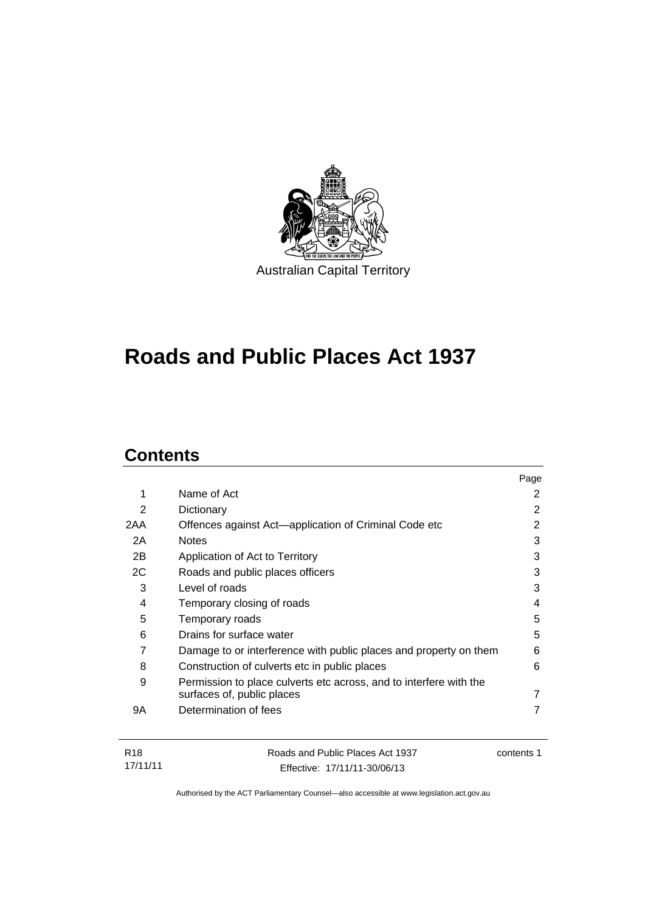

# **Roads and Public Places Act 1937**

# **Contents**

|     |                                                                                                  | Page |
|-----|--------------------------------------------------------------------------------------------------|------|
| 1   | Name of Act                                                                                      | 2    |
| 2   | Dictionary                                                                                       | 2    |
| 2AA | Offences against Act—application of Criminal Code etc                                            | 2    |
| 2A  | <b>Notes</b>                                                                                     | 3    |
| 2B  | Application of Act to Territory                                                                  | 3    |
| 2C  | Roads and public places officers                                                                 | 3    |
| 3   | Level of roads                                                                                   | 3    |
| 4   | Temporary closing of roads                                                                       | 4    |
| 5   | Temporary roads                                                                                  | 5    |
| 6   | Drains for surface water                                                                         | 5    |
| 7   | Damage to or interference with public places and property on them                                | 6    |
| 8   | Construction of culverts etc in public places                                                    | 6    |
| 9   | Permission to place culverts etc across, and to interfere with the<br>surfaces of, public places | 7    |
| 9Α  | Determination of fees                                                                            |      |
|     |                                                                                                  |      |
|     |                                                                                                  |      |

| R18      | Roads and Public Places Act 1937 | contents 1 |
|----------|----------------------------------|------------|
| 17/11/11 | Effective: 17/11/11-30/06/13     |            |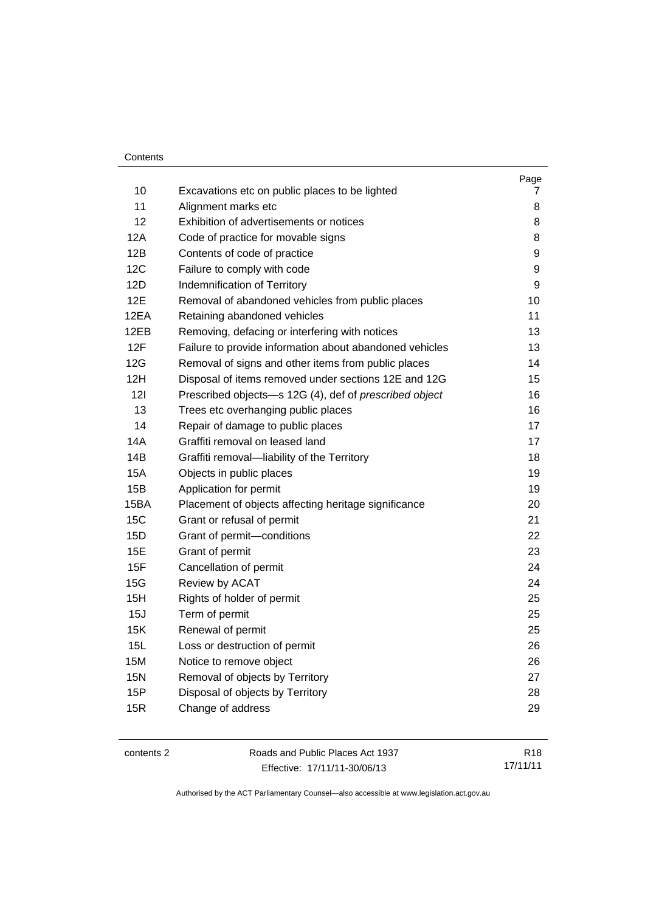| 10         | Excavations etc on public places to be lighted          | Page<br>7        |
|------------|---------------------------------------------------------|------------------|
| 11         | Alignment marks etc                                     | 8                |
| 12         | Exhibition of advertisements or notices                 | 8                |
| 12A        | Code of practice for movable signs                      | 8                |
| 12B        | Contents of code of practice                            | 9                |
| 12C        | Failure to comply with code                             | $\boldsymbol{9}$ |
| 12D        | Indemnification of Territory                            | 9                |
| 12E        | Removal of abandoned vehicles from public places        | 10               |
| 12EA       | Retaining abandoned vehicles                            | 11               |
| 12EB       | Removing, defacing or interfering with notices          | 13               |
| 12F        | Failure to provide information about abandoned vehicles | 13               |
| 12G        | Removal of signs and other items from public places     | 14               |
| 12H        | Disposal of items removed under sections 12E and 12G    | 15               |
| 121        | Prescribed objects-s 12G (4), def of prescribed object  | 16               |
| 13         | Trees etc overhanging public places                     | 16               |
| 14         | Repair of damage to public places                       | 17               |
| 14A        | Graffiti removal on leased land                         | 17               |
| 14B        | Graffiti removal-liability of the Territory             | 18               |
| <b>15A</b> | Objects in public places                                | 19               |
| 15B        | Application for permit                                  | 19               |
| 15BA       | Placement of objects affecting heritage significance    | 20               |
| <b>15C</b> | Grant or refusal of permit                              | 21               |
| 15D        | Grant of permit-conditions                              | 22               |
| 15E        | Grant of permit                                         | 23               |
| 15F        | Cancellation of permit                                  | 24               |
| 15G        | Review by ACAT                                          | 24               |
| 15H        | Rights of holder of permit                              | 25               |
| 15J        | Term of permit                                          | 25               |
| 15K        | Renewal of permit                                       | 25               |
| 15L        | Loss or destruction of permit                           | 26               |
| 15M        | Notice to remove object                                 | 26               |
| <b>15N</b> | Removal of objects by Territory                         | 27               |
| 15P        | Disposal of objects by Territory                        | 28               |
| 15R        | Change of address                                       | 29               |
|            |                                                         |                  |

| contents 2 | Roads and Public Places Act 1937 | R <sub>18</sub> |
|------------|----------------------------------|-----------------|
|            | Effective: 17/11/11-30/06/13     | 17/11/11        |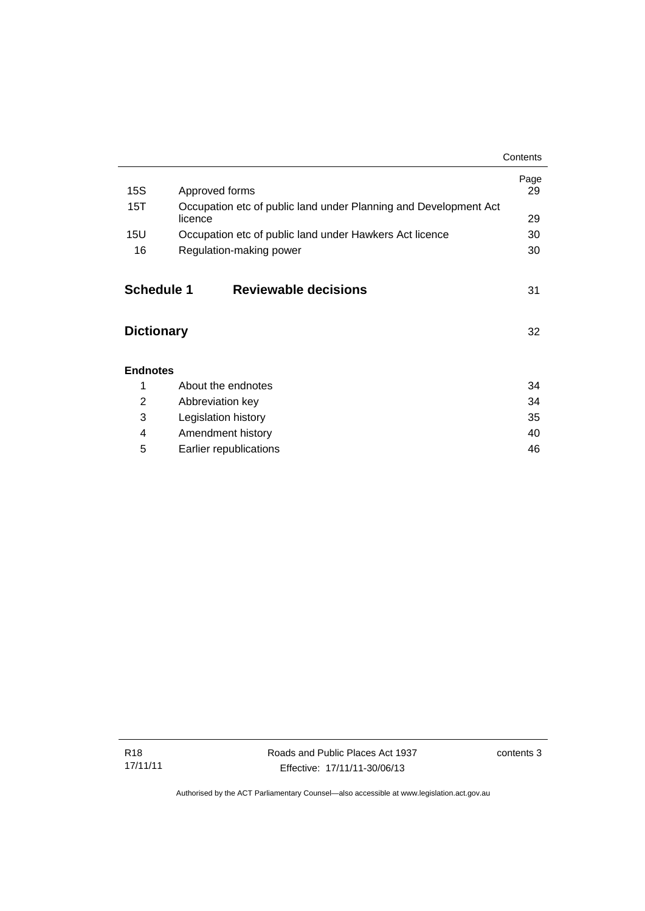|                                        |                                                                             | Contents   |
|----------------------------------------|-----------------------------------------------------------------------------|------------|
| 15S                                    | Approved forms                                                              | Page<br>29 |
| 15T                                    | Occupation etc of public land under Planning and Development Act<br>licence | 29         |
| 15U                                    | Occupation etc of public land under Hawkers Act licence                     | 30         |
| 16                                     | Regulation-making power                                                     | 30         |
| <b>Schedule 1</b><br><b>Dictionary</b> | Reviewable decisions                                                        | 31<br>32   |
| <b>Endnotes</b>                        |                                                                             |            |
| 1                                      | About the endnotes                                                          | 34         |
| $\overline{2}$                         | Abbreviation key                                                            | 34         |
| 3                                      | Legislation history                                                         | 35         |
| 4                                      | Amendment history                                                           | 40         |
| 5                                      | Earlier republications                                                      | 46         |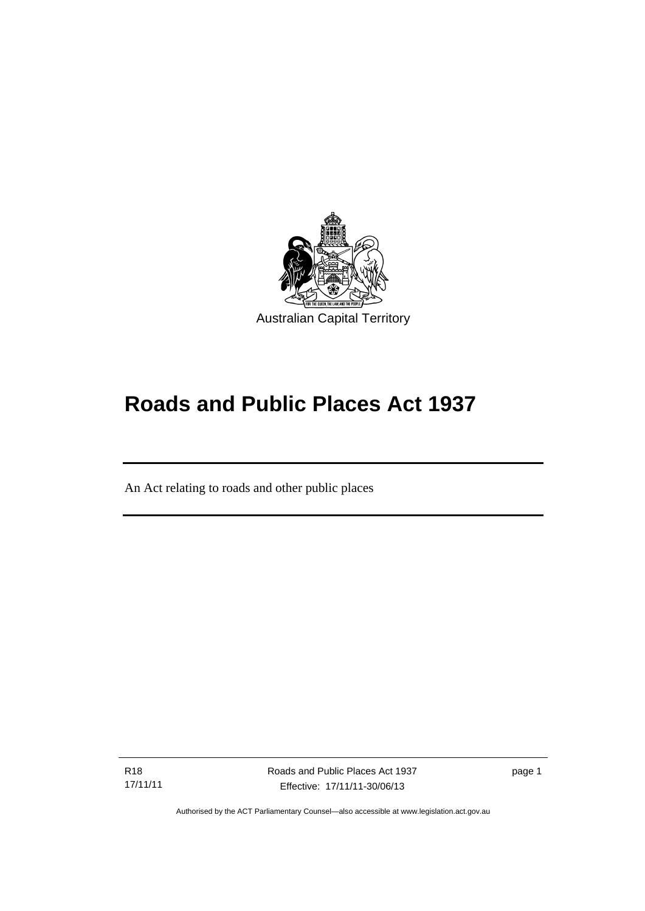

# **Roads and Public Places Act 1937**

An Act relating to roads and other public places

R18 17/11/11

Ī

Roads and Public Places Act 1937 Effective: 17/11/11-30/06/13

page 1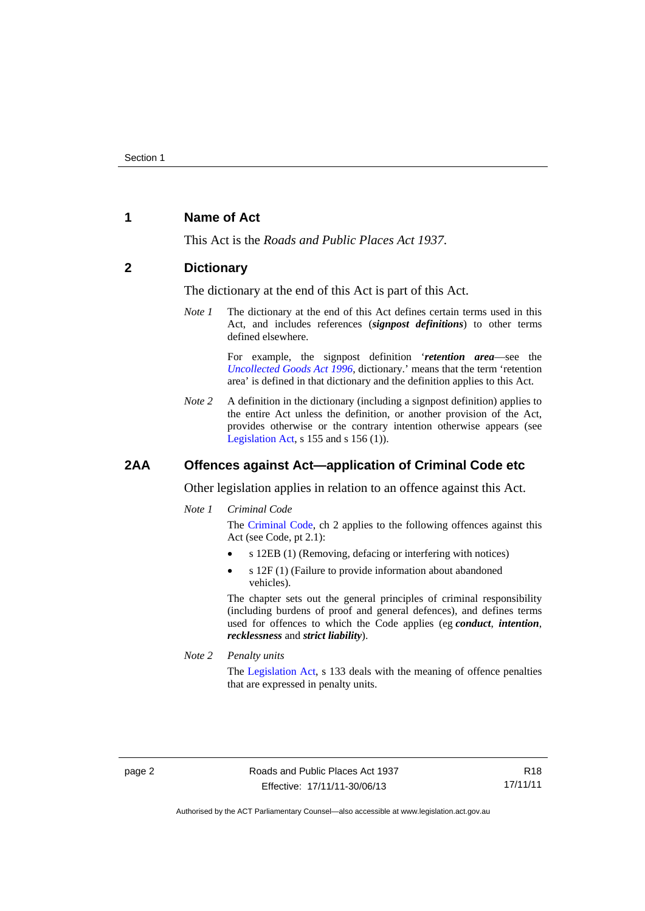## <span id="page-7-0"></span>**1 Name of Act**

This Act is the *Roads and Public Places Act 1937*.

## <span id="page-7-1"></span>**2 Dictionary**

The dictionary at the end of this Act is part of this Act.

*Note 1* The dictionary at the end of this Act defines certain terms used in this Act, and includes references (*signpost definitions*) to other terms defined elsewhere.

> For example, the signpost definition '*retention area*—see the *[Uncollected Goods Act 1996](http://www.legislation.act.gov.au/a/1996-86)*, dictionary.' means that the term 'retention area' is defined in that dictionary and the definition applies to this Act.

*Note 2* A definition in the dictionary (including a signpost definition) applies to the entire Act unless the definition, or another provision of the Act, provides otherwise or the contrary intention otherwise appears (see [Legislation Act,](http://www.legislation.act.gov.au/a/2001-14) s  $155$  and s  $156$  (1)).

## <span id="page-7-2"></span>**2AA Offences against Act—application of Criminal Code etc**

Other legislation applies in relation to an offence against this Act.

*Note 1 Criminal Code*

The [Criminal Code,](http://www.legislation.act.gov.au/a/2002-51) ch 2 applies to the following offences against this Act (see Code, pt 2.1):

- s 12EB (1) (Removing, defacing or interfering with notices)
- s 12F (1) (Failure to provide information about abandoned vehicles).

The chapter sets out the general principles of criminal responsibility (including burdens of proof and general defences), and defines terms used for offences to which the Code applies (eg *conduct*, *intention*, *recklessness* and *strict liability*).

*Note 2 Penalty units* 

The [Legislation Act](http://www.legislation.act.gov.au/a/2001-14), s 133 deals with the meaning of offence penalties that are expressed in penalty units.

R18 17/11/11

Authorised by the ACT Parliamentary Counsel—also accessible at www.legislation.act.gov.au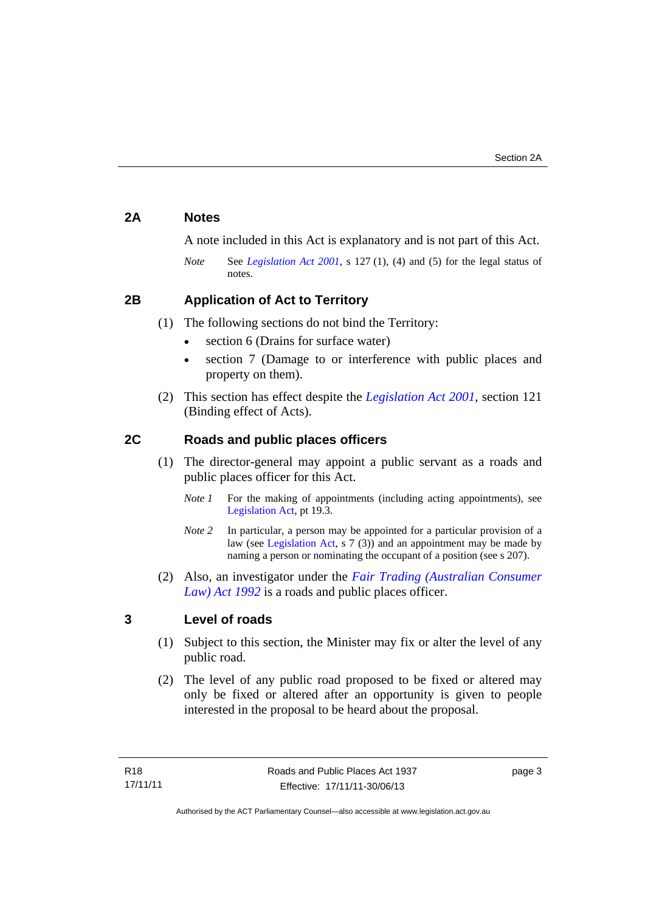# <span id="page-8-0"></span>**2A Notes**

A note included in this Act is explanatory and is not part of this Act.

*Note* See *[Legislation Act 2001](http://www.legislation.act.gov.au/a/2001-14)*, s 127 (1), (4) and (5) for the legal status of notes.

# <span id="page-8-1"></span>**2B Application of Act to Territory**

- (1) The following sections do not bind the Territory:
	- section 6 (Drains for surface water)
	- section 7 (Damage to or interference with public places and property on them).
- (2) This section has effect despite the *[Legislation Act 2001](http://www.legislation.act.gov.au/a/2001-14)*, section 121 (Binding effect of Acts).

# <span id="page-8-2"></span>**2C Roads and public places officers**

- (1) The director-general may appoint a public servant as a roads and public places officer for this Act.
	- *Note 1* For the making of appointments (including acting appointments), see [Legislation Act,](http://www.legislation.act.gov.au/a/2001-14) pt 19.3.
	- *Note* 2 In particular, a person may be appointed for a particular provision of a law (see [Legislation Act,](http://www.legislation.act.gov.au/a/2001-14) s 7 (3)) and an appointment may be made by naming a person or nominating the occupant of a position (see s 207).
- (2) Also, an investigator under the *[Fair Trading \(Australian Consumer](http://www.legislation.act.gov.au/a/1992-72)  [Law\) Act 1992](http://www.legislation.act.gov.au/a/1992-72)* is a roads and public places officer.

## <span id="page-8-3"></span>**3 Level of roads**

- (1) Subject to this section, the Minister may fix or alter the level of any public road.
- (2) The level of any public road proposed to be fixed or altered may only be fixed or altered after an opportunity is given to people interested in the proposal to be heard about the proposal.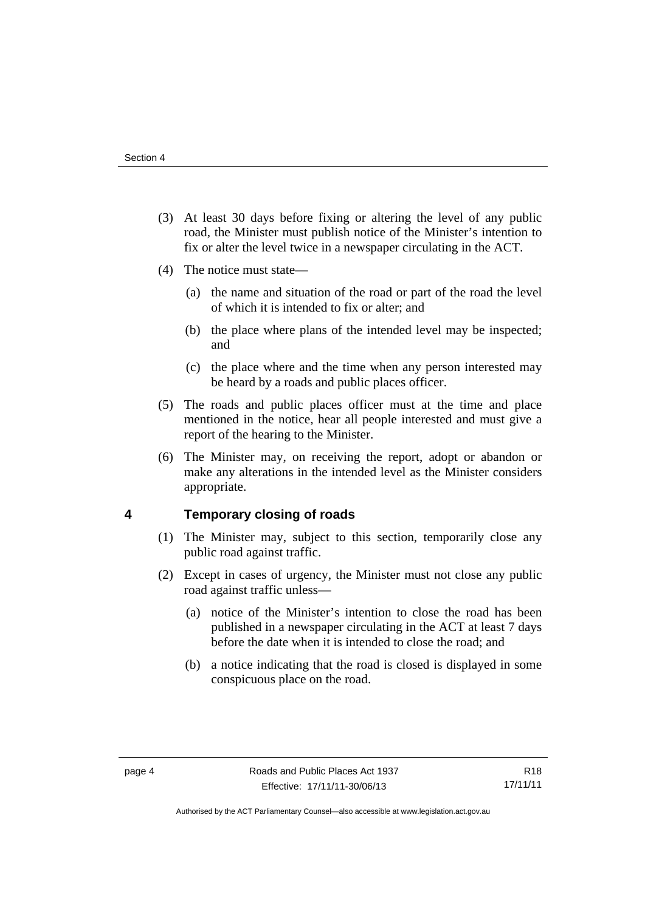- (3) At least 30 days before fixing or altering the level of any public road, the Minister must publish notice of the Minister's intention to fix or alter the level twice in a newspaper circulating in the ACT.
- (4) The notice must state—
	- (a) the name and situation of the road or part of the road the level of which it is intended to fix or alter; and
	- (b) the place where plans of the intended level may be inspected; and
	- (c) the place where and the time when any person interested may be heard by a roads and public places officer.
- (5) The roads and public places officer must at the time and place mentioned in the notice, hear all people interested and must give a report of the hearing to the Minister.
- (6) The Minister may, on receiving the report, adopt or abandon or make any alterations in the intended level as the Minister considers appropriate.

## <span id="page-9-0"></span>**4 Temporary closing of roads**

- (1) The Minister may, subject to this section, temporarily close any public road against traffic.
- (2) Except in cases of urgency, the Minister must not close any public road against traffic unless—
	- (a) notice of the Minister's intention to close the road has been published in a newspaper circulating in the ACT at least 7 days before the date when it is intended to close the road; and
	- (b) a notice indicating that the road is closed is displayed in some conspicuous place on the road.

Authorised by the ACT Parliamentary Counsel—also accessible at www.legislation.act.gov.au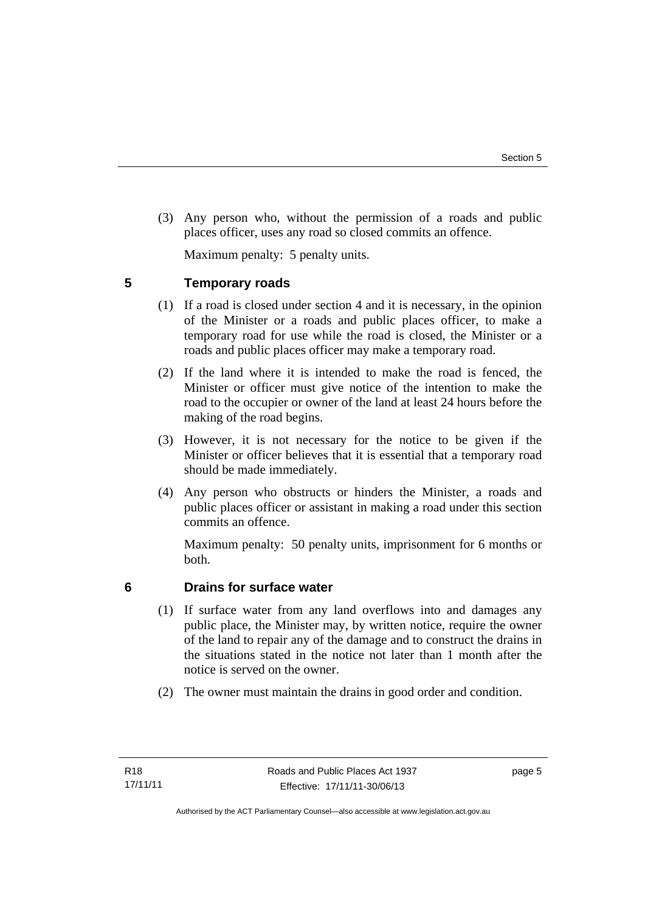(3) Any person who, without the permission of a roads and public places officer, uses any road so closed commits an offence.

Maximum penalty: 5 penalty units.

<span id="page-10-0"></span>**5 Temporary roads** 

- (1) If a road is closed under section 4 and it is necessary, in the opinion of the Minister or a roads and public places officer, to make a temporary road for use while the road is closed, the Minister or a roads and public places officer may make a temporary road.
- (2) If the land where it is intended to make the road is fenced, the Minister or officer must give notice of the intention to make the road to the occupier or owner of the land at least 24 hours before the making of the road begins.
- (3) However, it is not necessary for the notice to be given if the Minister or officer believes that it is essential that a temporary road should be made immediately.
- (4) Any person who obstructs or hinders the Minister, a roads and public places officer or assistant in making a road under this section commits an offence.

Maximum penalty: 50 penalty units, imprisonment for 6 months or both.

# <span id="page-10-1"></span>**6 Drains for surface water**

- (1) If surface water from any land overflows into and damages any public place, the Minister may, by written notice, require the owner of the land to repair any of the damage and to construct the drains in the situations stated in the notice not later than 1 month after the notice is served on the owner.
- (2) The owner must maintain the drains in good order and condition.

page 5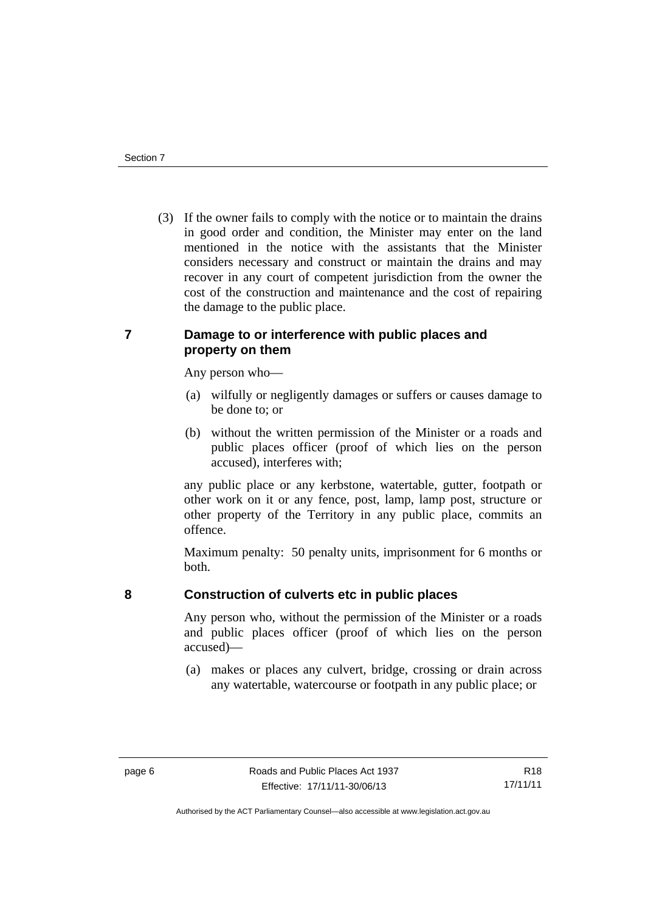(3) If the owner fails to comply with the notice or to maintain the drains in good order and condition, the Minister may enter on the land mentioned in the notice with the assistants that the Minister considers necessary and construct or maintain the drains and may recover in any court of competent jurisdiction from the owner the cost of the construction and maintenance and the cost of repairing the damage to the public place.

# <span id="page-11-0"></span>**7 Damage to or interference with public places and property on them**

Any person who—

- (a) wilfully or negligently damages or suffers or causes damage to be done to; or
- (b) without the written permission of the Minister or a roads and public places officer (proof of which lies on the person accused), interferes with;

any public place or any kerbstone, watertable, gutter, footpath or other work on it or any fence, post, lamp, lamp post, structure or other property of the Territory in any public place, commits an offence.

Maximum penalty: 50 penalty units, imprisonment for 6 months or both.

<span id="page-11-1"></span>

# **8 Construction of culverts etc in public places**

Any person who, without the permission of the Minister or a roads and public places officer (proof of which lies on the person accused)—

 (a) makes or places any culvert, bridge, crossing or drain across any watertable, watercourse or footpath in any public place; or

Authorised by the ACT Parliamentary Counsel—also accessible at www.legislation.act.gov.au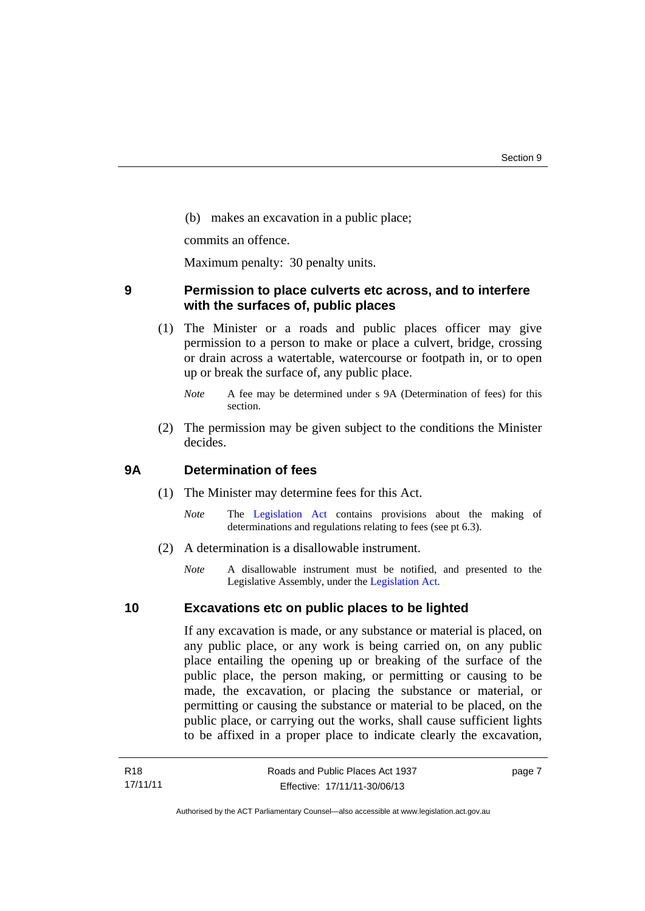(b) makes an excavation in a public place;

commits an offence.

Maximum penalty: 30 penalty units.

## <span id="page-12-0"></span>**9 Permission to place culverts etc across, and to interfere with the surfaces of, public places**

 (1) The Minister or a roads and public places officer may give permission to a person to make or place a culvert, bridge, crossing or drain across a watertable, watercourse or footpath in, or to open up or break the surface of, any public place.

 (2) The permission may be given subject to the conditions the Minister decides.

## <span id="page-12-1"></span>**9A Determination of fees**

- (1) The Minister may determine fees for this Act.
	- *Note* The [Legislation Act](http://www.legislation.act.gov.au/a/2001-14) contains provisions about the making of determinations and regulations relating to fees (see pt 6.3).
- (2) A determination is a disallowable instrument.
	- *Note* A disallowable instrument must be notified, and presented to the Legislative Assembly, under the [Legislation Act.](http://www.legislation.act.gov.au/a/2001-14)

## <span id="page-12-2"></span>**10 Excavations etc on public places to be lighted**

If any excavation is made, or any substance or material is placed, on any public place, or any work is being carried on, on any public place entailing the opening up or breaking of the surface of the public place, the person making, or permitting or causing to be made, the excavation, or placing the substance or material, or permitting or causing the substance or material to be placed, on the public place, or carrying out the works, shall cause sufficient lights to be affixed in a proper place to indicate clearly the excavation,

page 7

*Note* A fee may be determined under s 9A (Determination of fees) for this section.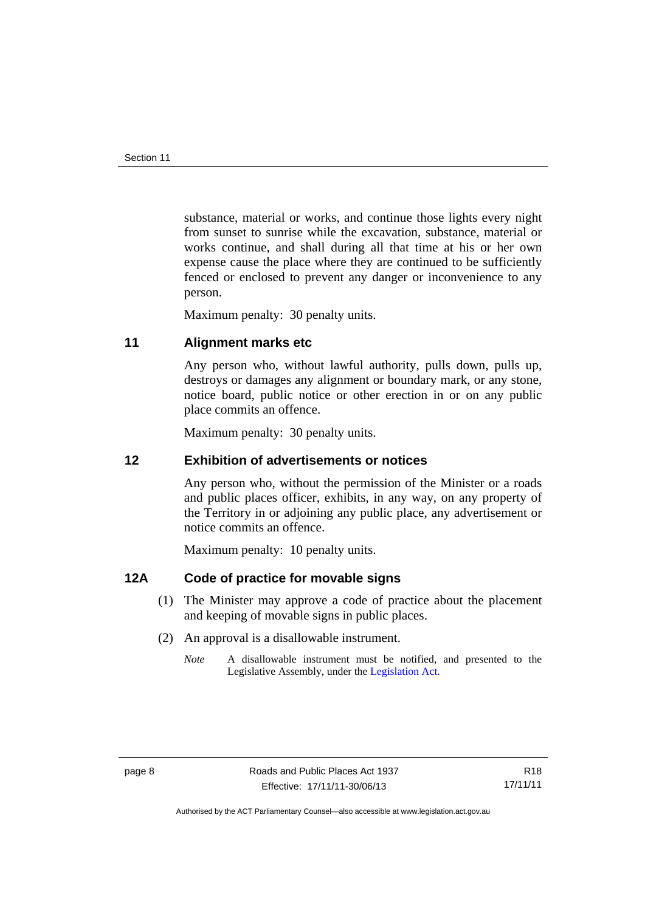substance, material or works, and continue those lights every night from sunset to sunrise while the excavation, substance, material or works continue, and shall during all that time at his or her own expense cause the place where they are continued to be sufficiently fenced or enclosed to prevent any danger or inconvenience to any person.

Maximum penalty: 30 penalty units.

## <span id="page-13-0"></span>**11 Alignment marks etc**

Any person who, without lawful authority, pulls down, pulls up, destroys or damages any alignment or boundary mark, or any stone, notice board, public notice or other erection in or on any public place commits an offence.

Maximum penalty: 30 penalty units.

## <span id="page-13-1"></span>**12 Exhibition of advertisements or notices**

Any person who, without the permission of the Minister or a roads and public places officer, exhibits, in any way, on any property of the Territory in or adjoining any public place, any advertisement or notice commits an offence.

Maximum penalty: 10 penalty units.

## <span id="page-13-2"></span>**12A Code of practice for movable signs**

- (1) The Minister may approve a code of practice about the placement and keeping of movable signs in public places.
- (2) An approval is a disallowable instrument.
	- *Note* A disallowable instrument must be notified, and presented to the Legislative Assembly, under the [Legislation Act.](http://www.legislation.act.gov.au/a/2001-14)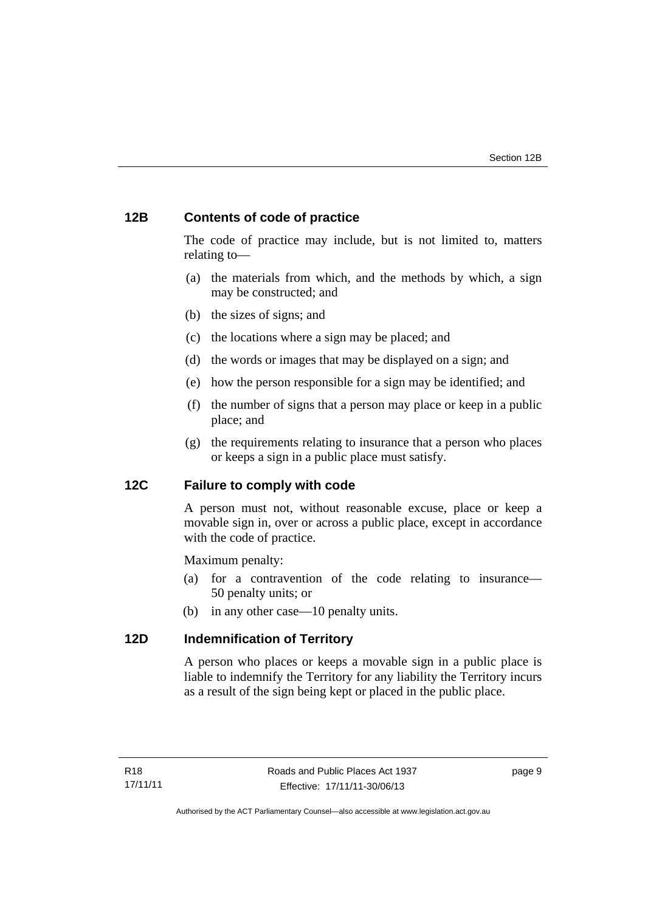# <span id="page-14-0"></span>**12B Contents of code of practice**

The code of practice may include, but is not limited to, matters relating to—

- (a) the materials from which, and the methods by which, a sign may be constructed; and
- (b) the sizes of signs; and
- (c) the locations where a sign may be placed; and
- (d) the words or images that may be displayed on a sign; and
- (e) how the person responsible for a sign may be identified; and
- (f) the number of signs that a person may place or keep in a public place; and
- (g) the requirements relating to insurance that a person who places or keeps a sign in a public place must satisfy.

# <span id="page-14-1"></span>**12C Failure to comply with code**

A person must not, without reasonable excuse, place or keep a movable sign in, over or across a public place, except in accordance with the code of practice.

Maximum penalty:

- (a) for a contravention of the code relating to insurance— 50 penalty units; or
- (b) in any other case—10 penalty units.

## <span id="page-14-2"></span>**12D Indemnification of Territory**

A person who places or keeps a movable sign in a public place is liable to indemnify the Territory for any liability the Territory incurs as a result of the sign being kept or placed in the public place.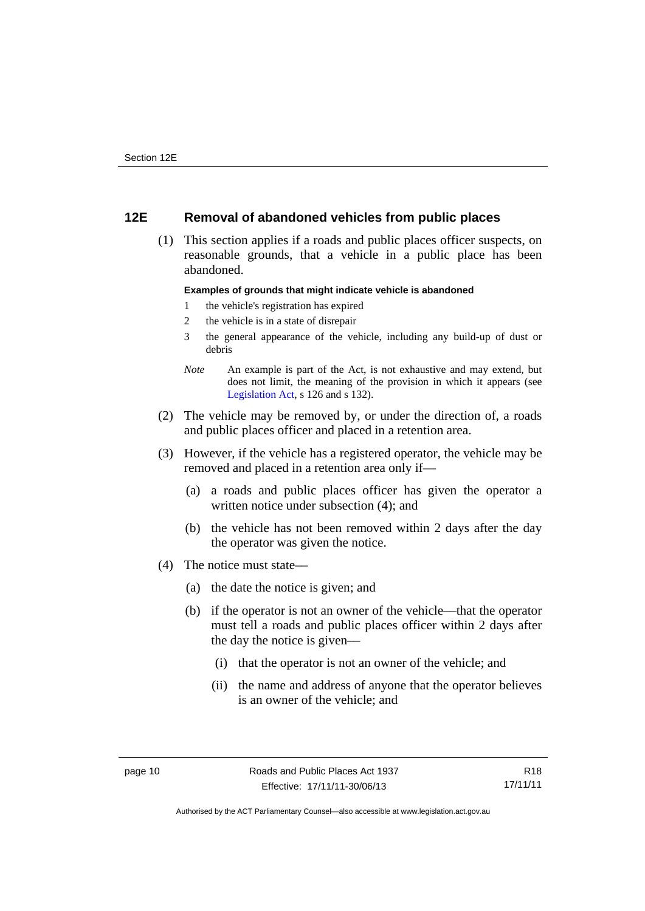## <span id="page-15-0"></span>**12E Removal of abandoned vehicles from public places**

 (1) This section applies if a roads and public places officer suspects, on reasonable grounds, that a vehicle in a public place has been abandoned.

### **Examples of grounds that might indicate vehicle is abandoned**

- 1 the vehicle's registration has expired
- 2 the vehicle is in a state of disrepair
- 3 the general appearance of the vehicle, including any build-up of dust or debris
- *Note* An example is part of the Act, is not exhaustive and may extend, but does not limit, the meaning of the provision in which it appears (see [Legislation Act,](http://www.legislation.act.gov.au/a/2001-14) s 126 and s 132).
- (2) The vehicle may be removed by, or under the direction of, a roads and public places officer and placed in a retention area.
- (3) However, if the vehicle has a registered operator, the vehicle may be removed and placed in a retention area only if—
	- (a) a roads and public places officer has given the operator a written notice under subsection (4); and
	- (b) the vehicle has not been removed within 2 days after the day the operator was given the notice.
- (4) The notice must state––
	- (a) the date the notice is given; and
	- (b) if the operator is not an owner of the vehicle––that the operator must tell a roads and public places officer within 2 days after the day the notice is given––
		- (i) that the operator is not an owner of the vehicle; and
		- (ii) the name and address of anyone that the operator believes is an owner of the vehicle; and

Authorised by the ACT Parliamentary Counsel—also accessible at www.legislation.act.gov.au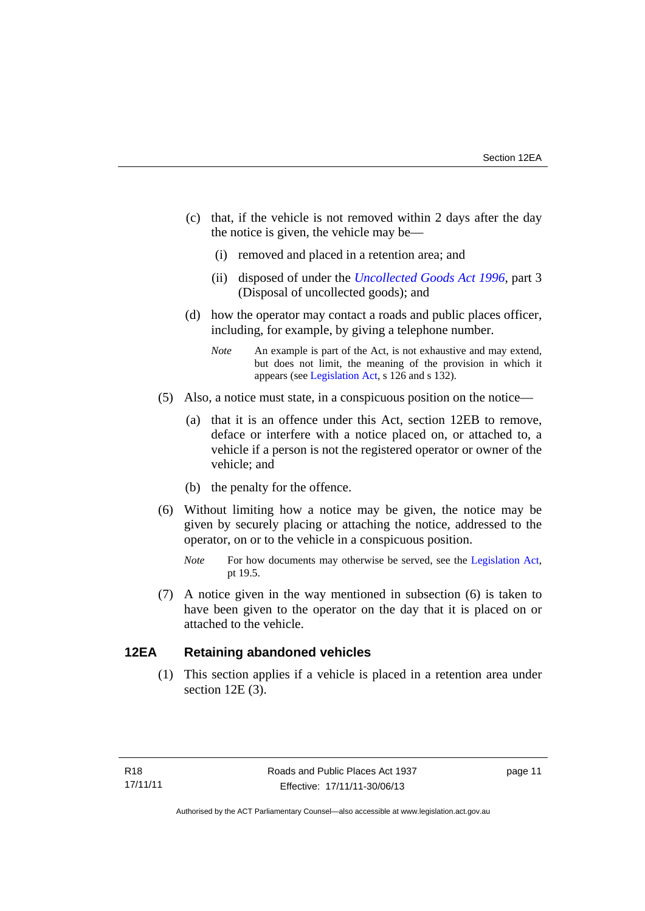- (c) that, if the vehicle is not removed within 2 days after the day the notice is given, the vehicle may be––
	- (i) removed and placed in a retention area; and
	- (ii) disposed of under the *[Uncollected Goods Act 1996](http://www.legislation.act.gov.au/a/1996-86)*, part 3 (Disposal of uncollected goods); and
- (d) how the operator may contact a roads and public places officer, including, for example, by giving a telephone number.
	- *Note* An example is part of the Act, is not exhaustive and may extend, but does not limit, the meaning of the provision in which it appears (see [Legislation Act,](http://www.legislation.act.gov.au/a/2001-14) s 126 and s 132).
- (5) Also, a notice must state, in a conspicuous position on the notice—
	- (a) that it is an offence under this Act, section 12EB to remove, deface or interfere with a notice placed on, or attached to, a vehicle if a person is not the registered operator or owner of the vehicle; and
	- (b) the penalty for the offence.
- (6) Without limiting how a notice may be given, the notice may be given by securely placing or attaching the notice, addressed to the operator, on or to the vehicle in a conspicuous position.
	- *Note* For how documents may otherwise be served, see the [Legislation Act,](http://www.legislation.act.gov.au/a/2001-14) pt 19.5.
- (7) A notice given in the way mentioned in subsection (6) is taken to have been given to the operator on the day that it is placed on or attached to the vehicle.

# <span id="page-16-0"></span>**12EA Retaining abandoned vehicles**

(1) This section applies if a vehicle is placed in a retention area under section 12E (3).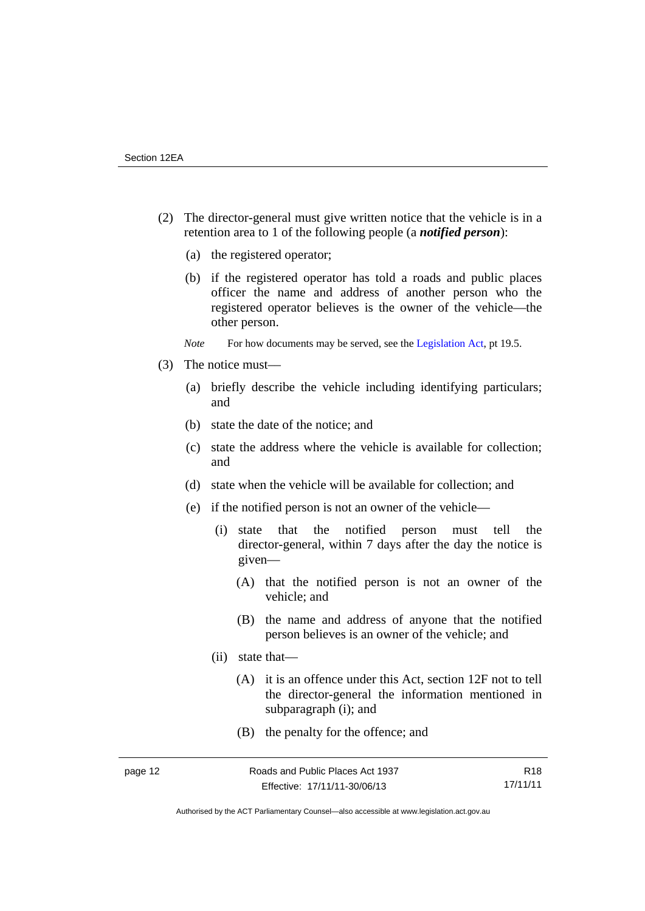- (2) The director-general must give written notice that the vehicle is in a retention area to 1 of the following people (a *notified person*):
	- (a) the registered operator;
	- (b) if the registered operator has told a roads and public places officer the name and address of another person who the registered operator believes is the owner of the vehicle—the other person.
	- *Note* For how documents may be served, see the [Legislation Act,](http://www.legislation.act.gov.au/a/2001-14) pt 19.5.
- (3) The notice must––
	- (a) briefly describe the vehicle including identifying particulars; and
	- (b) state the date of the notice; and
	- (c) state the address where the vehicle is available for collection; and
	- (d) state when the vehicle will be available for collection; and
	- (e) if the notified person is not an owner of the vehicle—
		- (i) state that the notified person must tell the director-general, within 7 days after the day the notice is given—
			- (A) that the notified person is not an owner of the vehicle; and
			- (B) the name and address of anyone that the notified person believes is an owner of the vehicle; and
		- (ii) state that—
			- (A) it is an offence under this Act, section 12F not to tell the director-general the information mentioned in subparagraph (i); and
			- (B) the penalty for the offence; and

Authorised by the ACT Parliamentary Counsel—also accessible at www.legislation.act.gov.au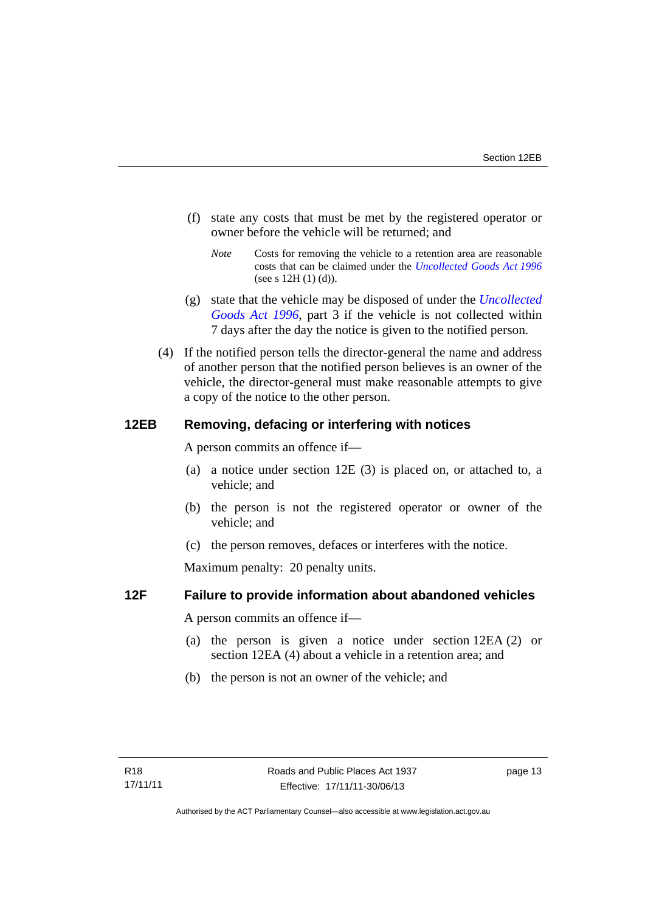- (f) state any costs that must be met by the registered operator or owner before the vehicle will be returned; and
	- *Note* Costs for removing the vehicle to a retention area are reasonable costs that can be claimed under the *[Uncollected Goods Act 1996](http://www.legislation.act.gov.au/a/1996-86)* (see s  $12H(1)(d)$ ).
- (g) state that the vehicle may be disposed of under the *[Uncollected](http://www.legislation.act.gov.au/a/1996-86)  [Goods Act 1996](http://www.legislation.act.gov.au/a/1996-86)*, part 3 if the vehicle is not collected within 7 days after the day the notice is given to the notified person.
- (4) If the notified person tells the director-general the name and address of another person that the notified person believes is an owner of the vehicle, the director-general must make reasonable attempts to give a copy of the notice to the other person.

## <span id="page-18-0"></span>**12EB Removing, defacing or interfering with notices**

A person commits an offence if—

- (a) a notice under section 12E (3) is placed on, or attached to, a vehicle; and
- (b) the person is not the registered operator or owner of the vehicle; and
- (c) the person removes, defaces or interferes with the notice.

Maximum penalty: 20 penalty units.

## <span id="page-18-1"></span>**12F Failure to provide information about abandoned vehicles**

A person commits an offence if-

- (a) the person is given a notice under section 12EA (2) or section 12EA (4) about a vehicle in a retention area; and
- (b) the person is not an owner of the vehicle; and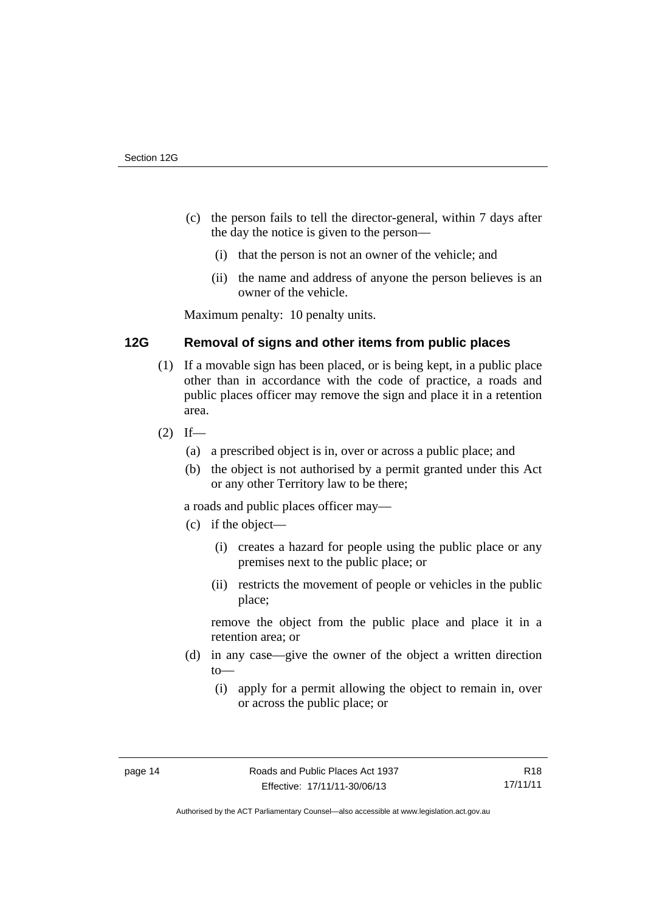- (c) the person fails to tell the director-general, within 7 days after the day the notice is given to the person––
	- (i) that the person is not an owner of the vehicle; and
	- (ii) the name and address of anyone the person believes is an owner of the vehicle.

Maximum penalty: 10 penalty units.

# <span id="page-19-0"></span>**12G Removal of signs and other items from public places**

- (1) If a movable sign has been placed, or is being kept, in a public place other than in accordance with the code of practice, a roads and public places officer may remove the sign and place it in a retention area.
- $(2)$  If—
	- (a) a prescribed object is in, over or across a public place; and
	- (b) the object is not authorised by a permit granted under this Act or any other Territory law to be there;

a roads and public places officer may—

- (c) if the object—
	- (i) creates a hazard for people using the public place or any premises next to the public place; or
	- (ii) restricts the movement of people or vehicles in the public place;

remove the object from the public place and place it in a retention area; or

- (d) in any case—give the owner of the object a written direction to—
	- (i) apply for a permit allowing the object to remain in, over or across the public place; or

Authorised by the ACT Parliamentary Counsel—also accessible at www.legislation.act.gov.au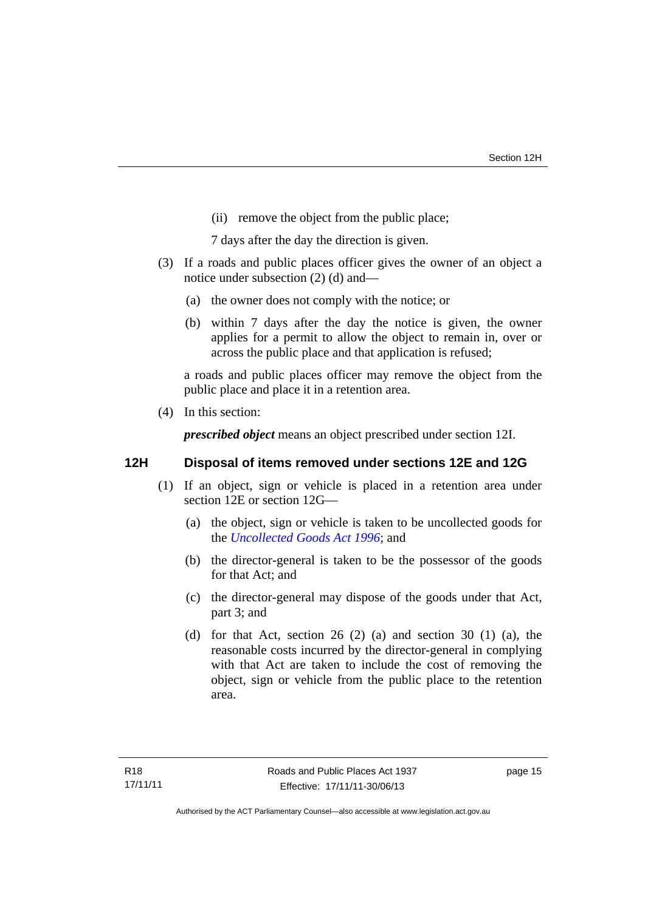(ii) remove the object from the public place;

7 days after the day the direction is given.

- (3) If a roads and public places officer gives the owner of an object a notice under subsection (2) (d) and—
	- (a) the owner does not comply with the notice; or
	- (b) within 7 days after the day the notice is given, the owner applies for a permit to allow the object to remain in, over or across the public place and that application is refused;

a roads and public places officer may remove the object from the public place and place it in a retention area.

(4) In this section:

*prescribed object* means an object prescribed under section 12I.

## <span id="page-20-0"></span>**12H Disposal of items removed under sections 12E and 12G**

- (1) If an object, sign or vehicle is placed in a retention area under section 12E or section 12G—
	- (a) the object, sign or vehicle is taken to be uncollected goods for the *[Uncollected Goods Act 1996](http://www.legislation.act.gov.au/a/1996-86)*; and
	- (b) the director-general is taken to be the possessor of the goods for that Act; and
	- (c) the director-general may dispose of the goods under that Act, part 3; and
	- (d) for that Act, section 26 (2) (a) and section 30 (1) (a), the reasonable costs incurred by the director-general in complying with that Act are taken to include the cost of removing the object, sign or vehicle from the public place to the retention area.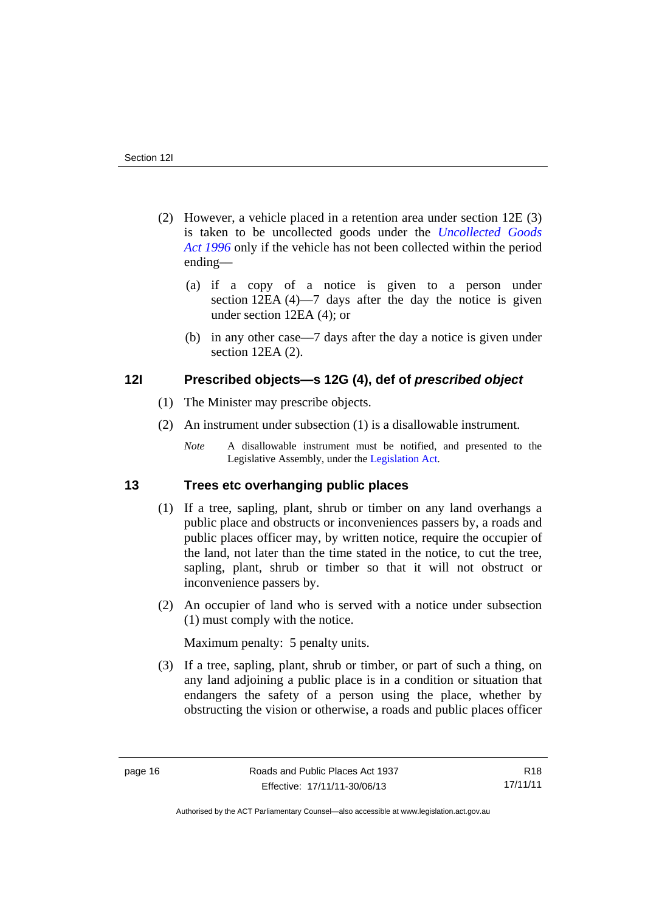- (2) However, a vehicle placed in a retention area under section 12E (3) is taken to be uncollected goods under the *[Uncollected Goods](http://www.legislation.act.gov.au/a/1996-86)  [Act 1996](http://www.legislation.act.gov.au/a/1996-86)* only if the vehicle has not been collected within the period ending––
	- (a) if a copy of a notice is given to a person under section 12EA (4)—7 days after the day the notice is given under section 12EA (4); or
	- (b) in any other case––7 days after the day a notice is given under section 12EA (2).

## <span id="page-21-0"></span>**12I Prescribed objects—s 12G (4), def of** *prescribed object*

- (1) The Minister may prescribe objects.
- (2) An instrument under subsection (1) is a disallowable instrument.
	- *Note* A disallowable instrument must be notified, and presented to the Legislative Assembly, under the [Legislation Act.](http://www.legislation.act.gov.au/a/2001-14)

## <span id="page-21-1"></span>**13 Trees etc overhanging public places**

- (1) If a tree, sapling, plant, shrub or timber on any land overhangs a public place and obstructs or inconveniences passers by, a roads and public places officer may, by written notice, require the occupier of the land, not later than the time stated in the notice, to cut the tree, sapling, plant, shrub or timber so that it will not obstruct or inconvenience passers by.
- (2) An occupier of land who is served with a notice under subsection (1) must comply with the notice.

Maximum penalty: 5 penalty units.

 (3) If a tree, sapling, plant, shrub or timber, or part of such a thing, on any land adjoining a public place is in a condition or situation that endangers the safety of a person using the place, whether by obstructing the vision or otherwise, a roads and public places officer

Authorised by the ACT Parliamentary Counsel—also accessible at www.legislation.act.gov.au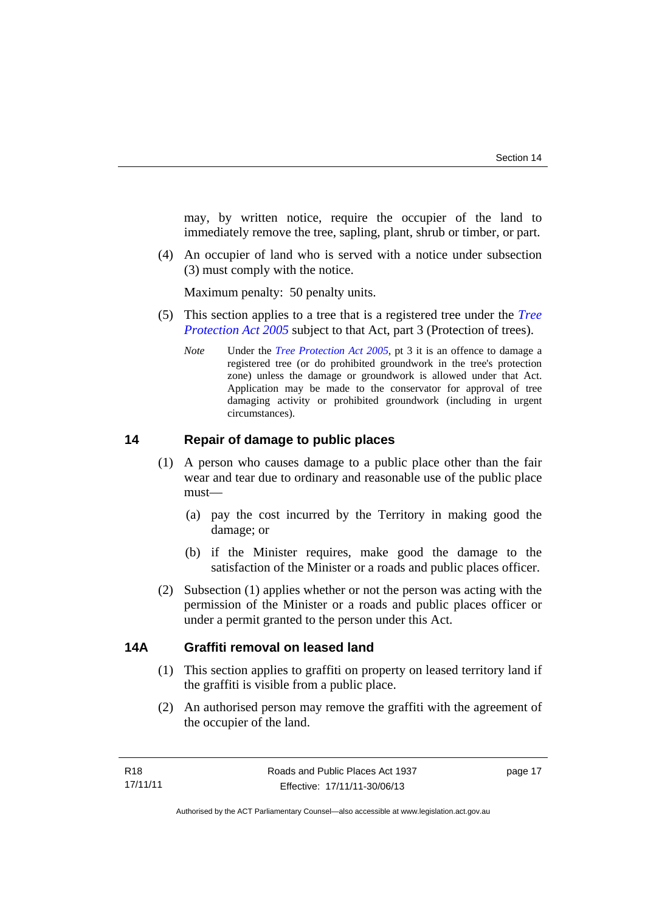may, by written notice, require the occupier of the land to immediately remove the tree, sapling, plant, shrub or timber, or part.

 (4) An occupier of land who is served with a notice under subsection (3) must comply with the notice.

Maximum penalty: 50 penalty units.

- (5) This section applies to a tree that is a registered tree under the *[Tree](http://www.legislation.act.gov.au/a/2005-51)  [Protection Act 2005](http://www.legislation.act.gov.au/a/2005-51)* subject to that Act, part 3 (Protection of trees).
	- *Note* Under the *[Tree Protection Act 2005](http://www.legislation.act.gov.au/a/2005-51)*, pt 3 it is an offence to damage a registered tree (or do prohibited groundwork in the tree's protection zone) unless the damage or groundwork is allowed under that Act. Application may be made to the conservator for approval of tree damaging activity or prohibited groundwork (including in urgent circumstances).

## <span id="page-22-0"></span>**14 Repair of damage to public places**

- (1) A person who causes damage to a public place other than the fair wear and tear due to ordinary and reasonable use of the public place must—
	- (a) pay the cost incurred by the Territory in making good the damage; or
	- (b) if the Minister requires, make good the damage to the satisfaction of the Minister or a roads and public places officer.
- (2) Subsection (1) applies whether or not the person was acting with the permission of the Minister or a roads and public places officer or under a permit granted to the person under this Act.

## <span id="page-22-1"></span>**14A Graffiti removal on leased land**

- (1) This section applies to graffiti on property on leased territory land if the graffiti is visible from a public place.
- (2) An authorised person may remove the graffiti with the agreement of the occupier of the land.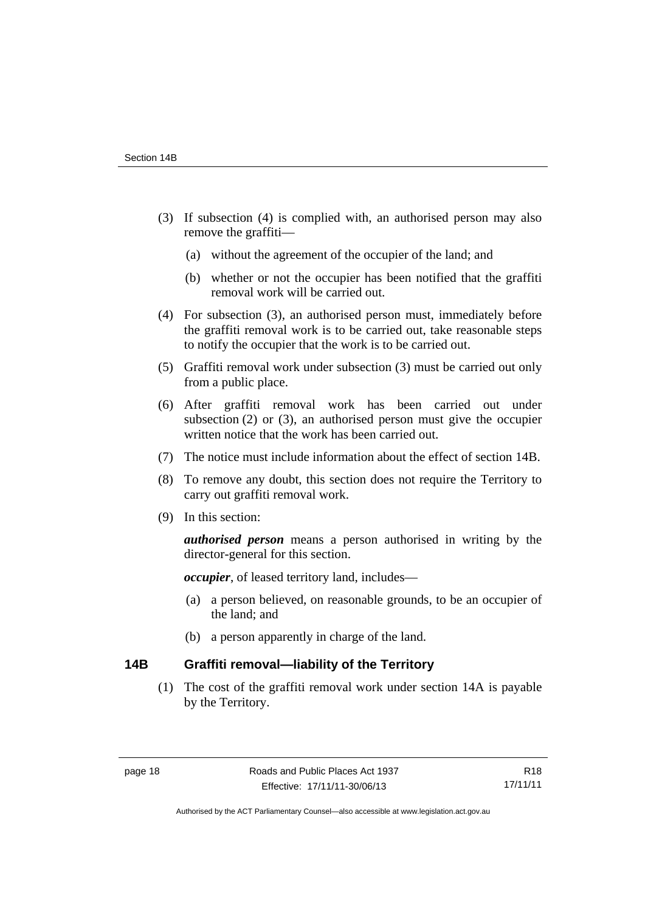- (3) If subsection (4) is complied with, an authorised person may also remove the graffiti—
	- (a) without the agreement of the occupier of the land; and
	- (b) whether or not the occupier has been notified that the graffiti removal work will be carried out.
- (4) For subsection (3), an authorised person must, immediately before the graffiti removal work is to be carried out, take reasonable steps to notify the occupier that the work is to be carried out.
- (5) Graffiti removal work under subsection (3) must be carried out only from a public place.
- (6) After graffiti removal work has been carried out under subsection (2) or (3), an authorised person must give the occupier written notice that the work has been carried out.
- (7) The notice must include information about the effect of section 14B.
- (8) To remove any doubt, this section does not require the Territory to carry out graffiti removal work.
- (9) In this section:

*authorised person* means a person authorised in writing by the director-general for this section.

*occupier*, of leased territory land, includes—

- (a) a person believed, on reasonable grounds, to be an occupier of the land; and
- (b) a person apparently in charge of the land.

## <span id="page-23-0"></span>**14B Graffiti removal—liability of the Territory**

(1) The cost of the graffiti removal work under section 14A is payable by the Territory.

Authorised by the ACT Parliamentary Counsel—also accessible at www.legislation.act.gov.au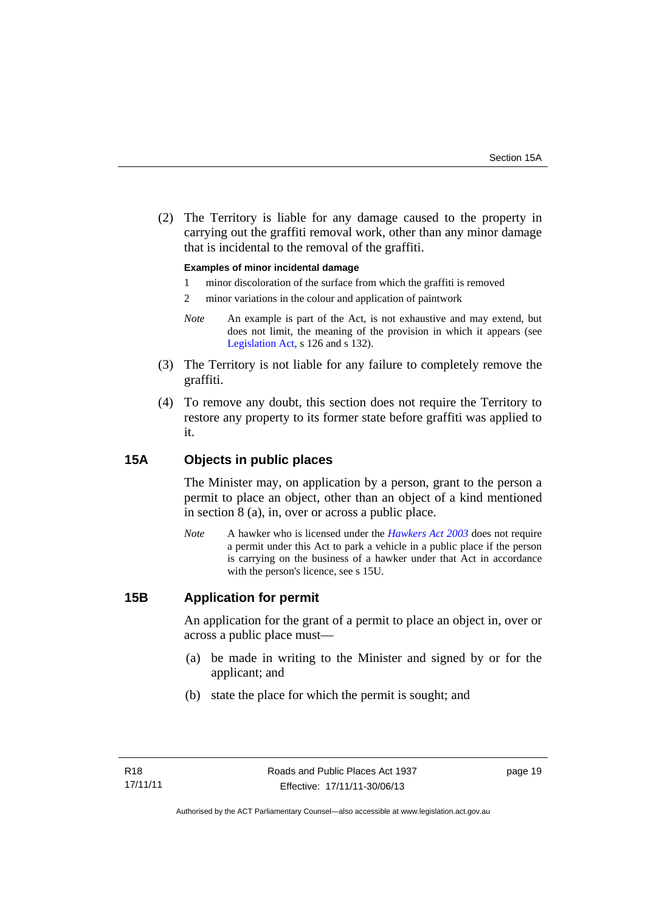(2) The Territory is liable for any damage caused to the property in carrying out the graffiti removal work, other than any minor damage that is incidental to the removal of the graffiti.

### **Examples of minor incidental damage**

- 1 minor discoloration of the surface from which the graffiti is removed
- 2 minor variations in the colour and application of paintwork
- *Note* An example is part of the Act, is not exhaustive and may extend, but does not limit, the meaning of the provision in which it appears (see [Legislation Act,](http://www.legislation.act.gov.au/a/2001-14) s 126 and s 132).
- (3) The Territory is not liable for any failure to completely remove the graffiti.
- (4) To remove any doubt, this section does not require the Territory to restore any property to its former state before graffiti was applied to it.

## <span id="page-24-0"></span>**15A Objects in public places**

The Minister may, on application by a person, grant to the person a permit to place an object, other than an object of a kind mentioned in section 8 (a), in, over or across a public place.

*Note* A hawker who is licensed under the *[Hawkers Act 2003](http://www.legislation.act.gov.au/a/2003-10)* does not require a permit under this Act to park a vehicle in a public place if the person is carrying on the business of a hawker under that Act in accordance with the person's licence, see s 15U.

## <span id="page-24-1"></span>**15B Application for permit**

An application for the grant of a permit to place an object in, over or across a public place must—

- (a) be made in writing to the Minister and signed by or for the applicant; and
- (b) state the place for which the permit is sought; and

page 19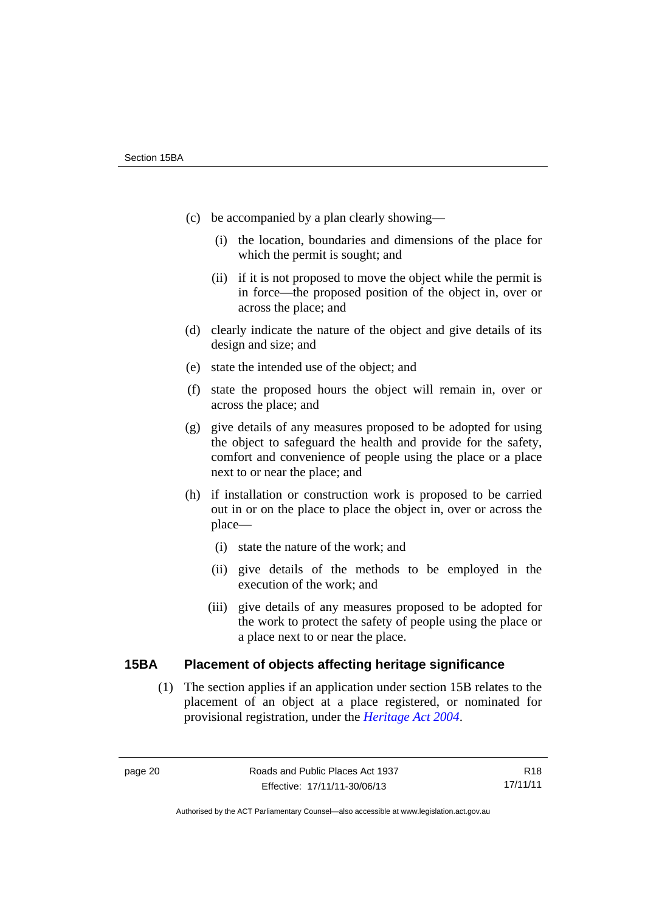- (c) be accompanied by a plan clearly showing—
	- (i) the location, boundaries and dimensions of the place for which the permit is sought; and
	- (ii) if it is not proposed to move the object while the permit is in force—the proposed position of the object in, over or across the place; and
- (d) clearly indicate the nature of the object and give details of its design and size; and
- (e) state the intended use of the object; and
- (f) state the proposed hours the object will remain in, over or across the place; and
- (g) give details of any measures proposed to be adopted for using the object to safeguard the health and provide for the safety, comfort and convenience of people using the place or a place next to or near the place; and
- (h) if installation or construction work is proposed to be carried out in or on the place to place the object in, over or across the place—
	- (i) state the nature of the work; and
	- (ii) give details of the methods to be employed in the execution of the work; and
	- (iii) give details of any measures proposed to be adopted for the work to protect the safety of people using the place or a place next to or near the place.

## <span id="page-25-0"></span>**15BA Placement of objects affecting heritage significance**

(1) The section applies if an application under section 15B relates to the placement of an object at a place registered, or nominated for provisional registration, under the *[Heritage Act 2004](http://www.legislation.act.gov.au/a/2004-57)*.

Authorised by the ACT Parliamentary Counsel—also accessible at www.legislation.act.gov.au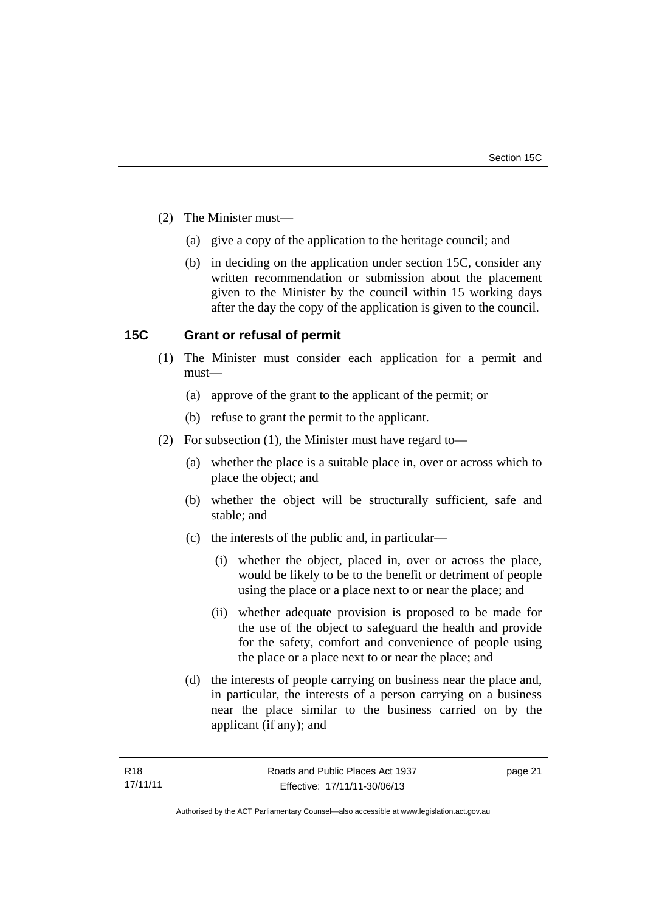- (2) The Minister must—
	- (a) give a copy of the application to the heritage council; and
	- (b) in deciding on the application under section 15C, consider any written recommendation or submission about the placement given to the Minister by the council within 15 working days after the day the copy of the application is given to the council.

## <span id="page-26-0"></span>**15C Grant or refusal of permit**

- (1) The Minister must consider each application for a permit and must—
	- (a) approve of the grant to the applicant of the permit; or
	- (b) refuse to grant the permit to the applicant.
- (2) For subsection (1), the Minister must have regard to—
	- (a) whether the place is a suitable place in, over or across which to place the object; and
	- (b) whether the object will be structurally sufficient, safe and stable; and
	- (c) the interests of the public and, in particular—
		- (i) whether the object, placed in, over or across the place, would be likely to be to the benefit or detriment of people using the place or a place next to or near the place; and
		- (ii) whether adequate provision is proposed to be made for the use of the object to safeguard the health and provide for the safety, comfort and convenience of people using the place or a place next to or near the place; and
	- (d) the interests of people carrying on business near the place and, in particular, the interests of a person carrying on a business near the place similar to the business carried on by the applicant (if any); and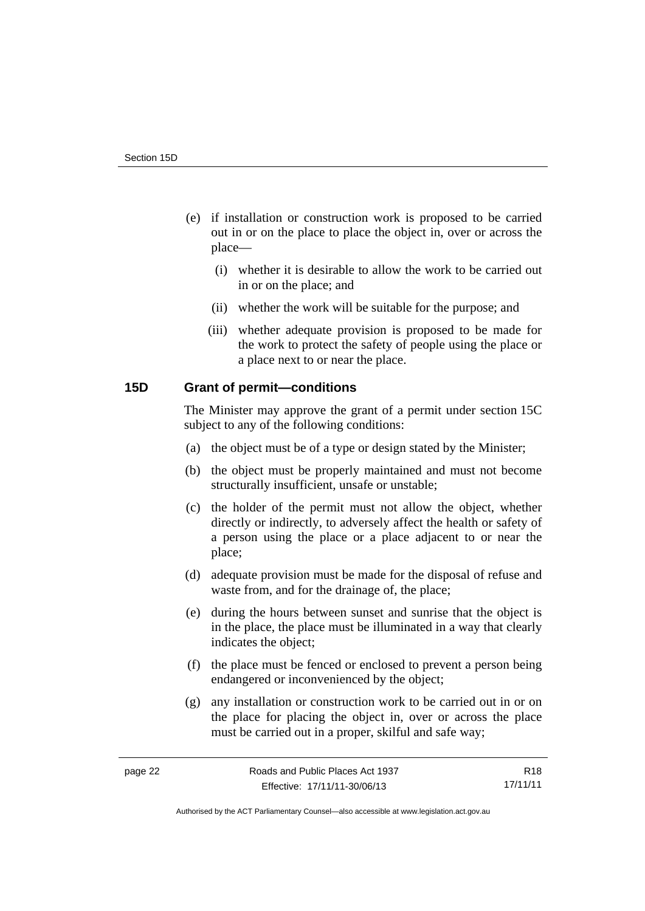- (e) if installation or construction work is proposed to be carried out in or on the place to place the object in, over or across the place—
	- (i) whether it is desirable to allow the work to be carried out in or on the place; and
	- (ii) whether the work will be suitable for the purpose; and
	- (iii) whether adequate provision is proposed to be made for the work to protect the safety of people using the place or a place next to or near the place.

## <span id="page-27-0"></span>**15D Grant of permit—conditions**

The Minister may approve the grant of a permit under section 15C subject to any of the following conditions:

- (a) the object must be of a type or design stated by the Minister;
- (b) the object must be properly maintained and must not become structurally insufficient, unsafe or unstable;
- (c) the holder of the permit must not allow the object, whether directly or indirectly, to adversely affect the health or safety of a person using the place or a place adjacent to or near the place;
- (d) adequate provision must be made for the disposal of refuse and waste from, and for the drainage of, the place;
- (e) during the hours between sunset and sunrise that the object is in the place, the place must be illuminated in a way that clearly indicates the object;
- (f) the place must be fenced or enclosed to prevent a person being endangered or inconvenienced by the object;
- (g) any installation or construction work to be carried out in or on the place for placing the object in, over or across the place must be carried out in a proper, skilful and safe way;

R18 17/11/11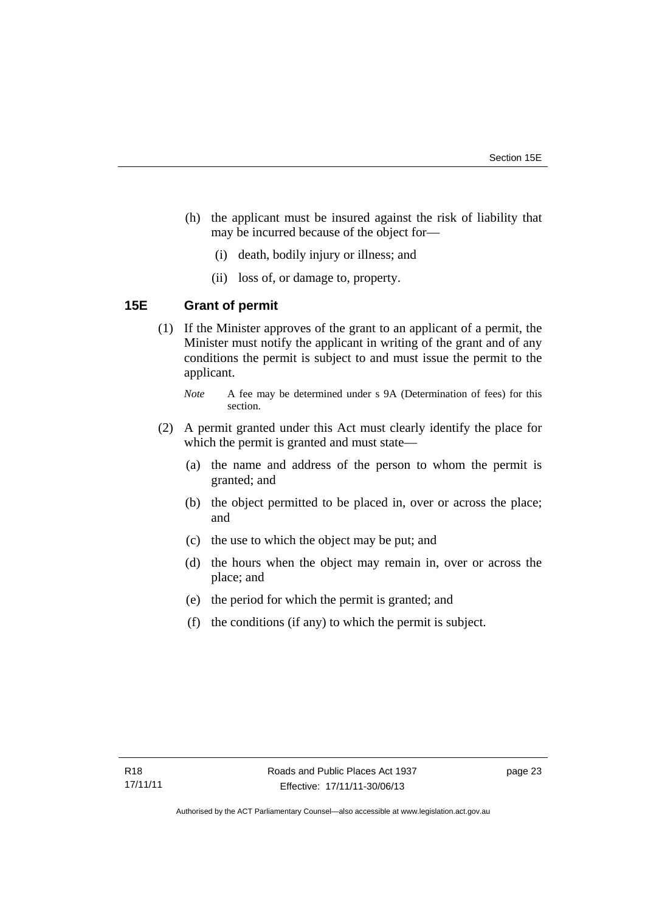- (h) the applicant must be insured against the risk of liability that may be incurred because of the object for—
	- (i) death, bodily injury or illness; and
	- (ii) loss of, or damage to, property.

## <span id="page-28-0"></span>**15E Grant of permit**

(1) If the Minister approves of the grant to an applicant of a permit, the Minister must notify the applicant in writing of the grant and of any conditions the permit is subject to and must issue the permit to the applicant.

- (2) A permit granted under this Act must clearly identify the place for which the permit is granted and must state—
	- (a) the name and address of the person to whom the permit is granted; and
	- (b) the object permitted to be placed in, over or across the place; and
	- (c) the use to which the object may be put; and
	- (d) the hours when the object may remain in, over or across the place; and
	- (e) the period for which the permit is granted; and
	- (f) the conditions (if any) to which the permit is subject.

*Note* A fee may be determined under s 9A (Determination of fees) for this section.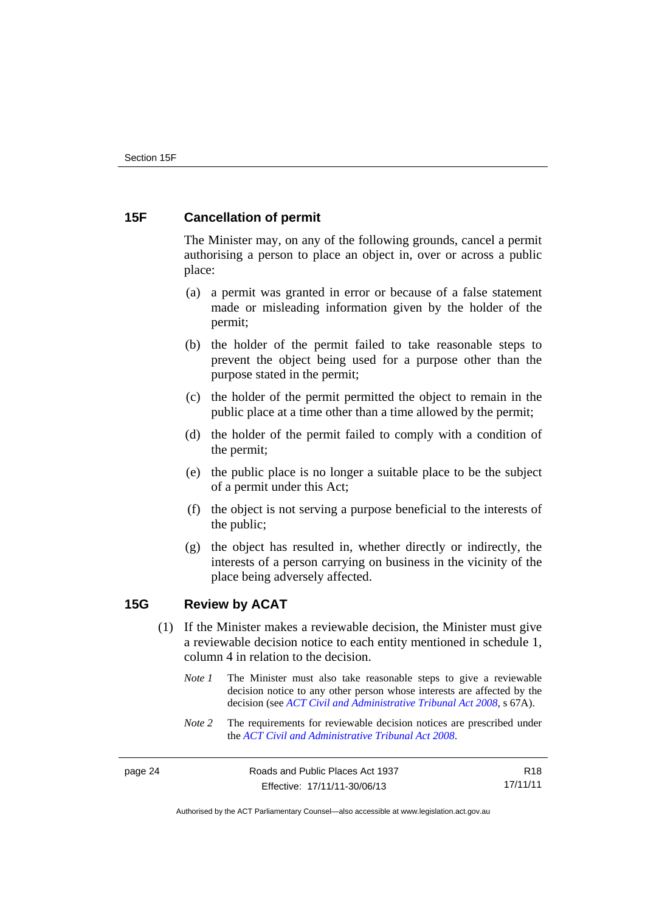# <span id="page-29-0"></span>**15F Cancellation of permit**

The Minister may, on any of the following grounds, cancel a permit authorising a person to place an object in, over or across a public place:

- (a) a permit was granted in error or because of a false statement made or misleading information given by the holder of the permit;
- (b) the holder of the permit failed to take reasonable steps to prevent the object being used for a purpose other than the purpose stated in the permit;
- (c) the holder of the permit permitted the object to remain in the public place at a time other than a time allowed by the permit;
- (d) the holder of the permit failed to comply with a condition of the permit;
- (e) the public place is no longer a suitable place to be the subject of a permit under this Act;
- (f) the object is not serving a purpose beneficial to the interests of the public;
- (g) the object has resulted in, whether directly or indirectly, the interests of a person carrying on business in the vicinity of the place being adversely affected.

## <span id="page-29-1"></span>**15G Review by ACAT**

- (1) If the Minister makes a reviewable decision, the Minister must give a reviewable decision notice to each entity mentioned in schedule 1, column 4 in relation to the decision.
	- *Note 1* The Minister must also take reasonable steps to give a reviewable decision notice to any other person whose interests are affected by the decision (see *[ACT Civil and Administrative Tribunal Act 2008](http://www.legislation.act.gov.au/a/2008-35)*, s 67A).
	- *Note* 2 The requirements for reviewable decision notices are prescribed under the *[ACT Civil and Administrative Tribunal Act 2008](http://www.legislation.act.gov.au/a/2008-35)*.

R18 17/11/11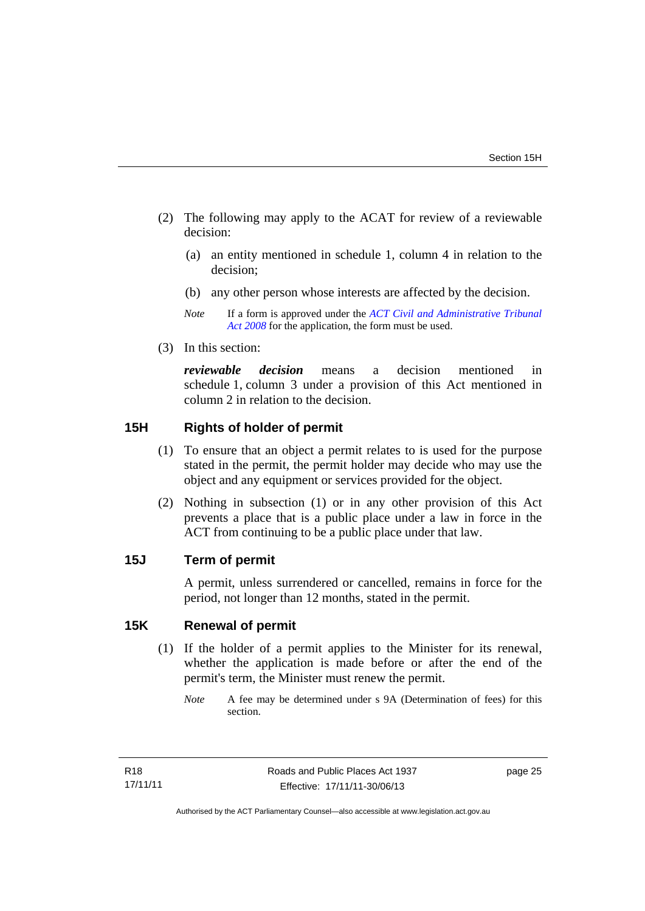- (2) The following may apply to the ACAT for review of a reviewable decision:
	- (a) an entity mentioned in schedule 1, column 4 in relation to the decision;
	- (b) any other person whose interests are affected by the decision.
	- *Note* If a form is approved under the *[ACT Civil and Administrative Tribunal](http://www.legislation.act.gov.au/a/2008-35)  [Act 2008](http://www.legislation.act.gov.au/a/2008-35)* for the application, the form must be used.
- (3) In this section:

*reviewable decision* means a decision mentioned in schedule 1, column 3 under a provision of this Act mentioned in column 2 in relation to the decision.

## <span id="page-30-0"></span>**15H Rights of holder of permit**

- (1) To ensure that an object a permit relates to is used for the purpose stated in the permit, the permit holder may decide who may use the object and any equipment or services provided for the object.
- (2) Nothing in subsection (1) or in any other provision of this Act prevents a place that is a public place under a law in force in the ACT from continuing to be a public place under that law.

## <span id="page-30-1"></span>**15J Term of permit**

A permit, unless surrendered or cancelled, remains in force for the period, not longer than 12 months, stated in the permit.

# <span id="page-30-2"></span>**15K Renewal of permit**

(1) If the holder of a permit applies to the Minister for its renewal, whether the application is made before or after the end of the permit's term, the Minister must renew the permit.

*Note* A fee may be determined under s 9A (Determination of fees) for this section.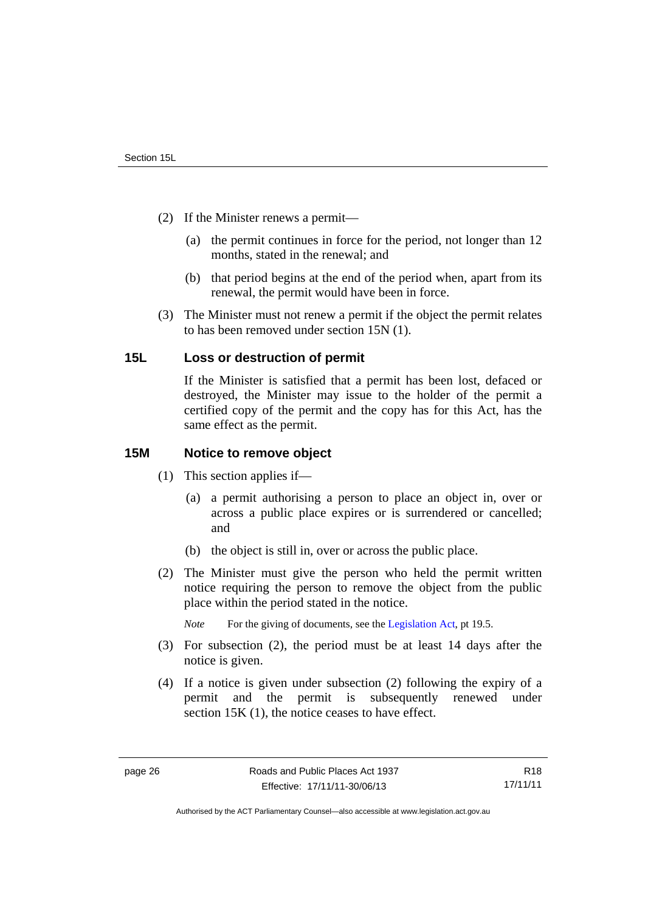- (2) If the Minister renews a permit—
	- (a) the permit continues in force for the period, not longer than 12 months, stated in the renewal; and
	- (b) that period begins at the end of the period when, apart from its renewal, the permit would have been in force.
- (3) The Minister must not renew a permit if the object the permit relates to has been removed under section 15N (1).

## <span id="page-31-0"></span>**15L Loss or destruction of permit**

If the Minister is satisfied that a permit has been lost, defaced or destroyed, the Minister may issue to the holder of the permit a certified copy of the permit and the copy has for this Act, has the same effect as the permit.

## <span id="page-31-1"></span>**15M Notice to remove object**

- (1) This section applies if—
	- (a) a permit authorising a person to place an object in, over or across a public place expires or is surrendered or cancelled; and
	- (b) the object is still in, over or across the public place.
- (2) The Minister must give the person who held the permit written notice requiring the person to remove the object from the public place within the period stated in the notice.

*Note* For the giving of documents, see the [Legislation Act](http://www.legislation.act.gov.au/a/2001-14), pt 19.5.

- (3) For subsection (2), the period must be at least 14 days after the notice is given.
- (4) If a notice is given under subsection (2) following the expiry of a permit and the permit is subsequently renewed under section 15K (1), the notice ceases to have effect.

R18 17/11/11

Authorised by the ACT Parliamentary Counsel—also accessible at www.legislation.act.gov.au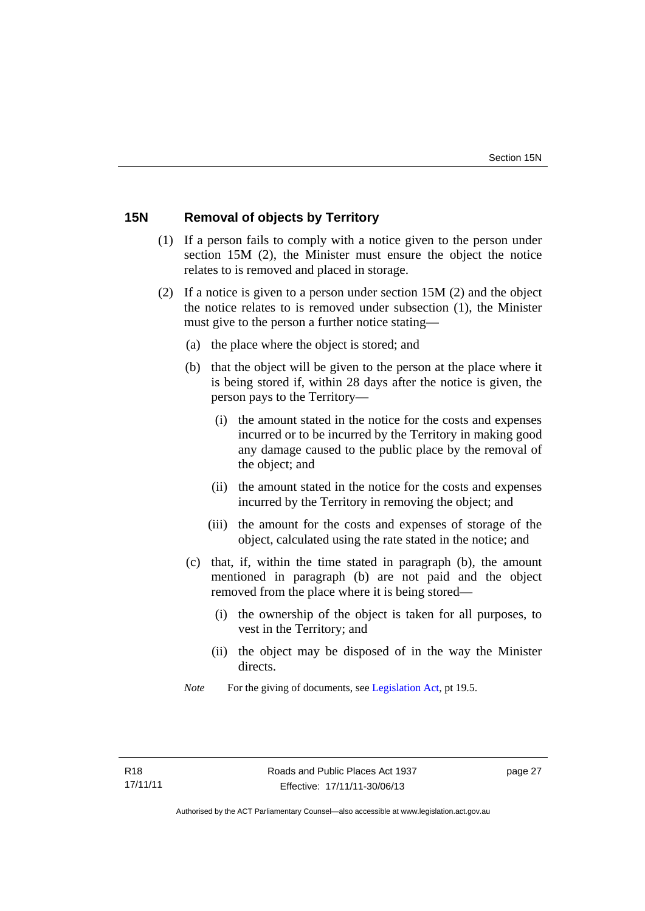# <span id="page-32-0"></span>**15N Removal of objects by Territory**

- (1) If a person fails to comply with a notice given to the person under section 15M (2), the Minister must ensure the object the notice relates to is removed and placed in storage.
- (2) If a notice is given to a person under section 15M (2) and the object the notice relates to is removed under subsection (1), the Minister must give to the person a further notice stating—
	- (a) the place where the object is stored; and
	- (b) that the object will be given to the person at the place where it is being stored if, within 28 days after the notice is given, the person pays to the Territory—
		- (i) the amount stated in the notice for the costs and expenses incurred or to be incurred by the Territory in making good any damage caused to the public place by the removal of the object; and
		- (ii) the amount stated in the notice for the costs and expenses incurred by the Territory in removing the object; and
		- (iii) the amount for the costs and expenses of storage of the object, calculated using the rate stated in the notice; and
	- (c) that, if, within the time stated in paragraph (b), the amount mentioned in paragraph (b) are not paid and the object removed from the place where it is being stored—
		- (i) the ownership of the object is taken for all purposes, to vest in the Territory; and
		- (ii) the object may be disposed of in the way the Minister directs.
	- *Note* For the giving of documents, see [Legislation Act,](http://www.legislation.act.gov.au/a/2001-14) pt 19.5.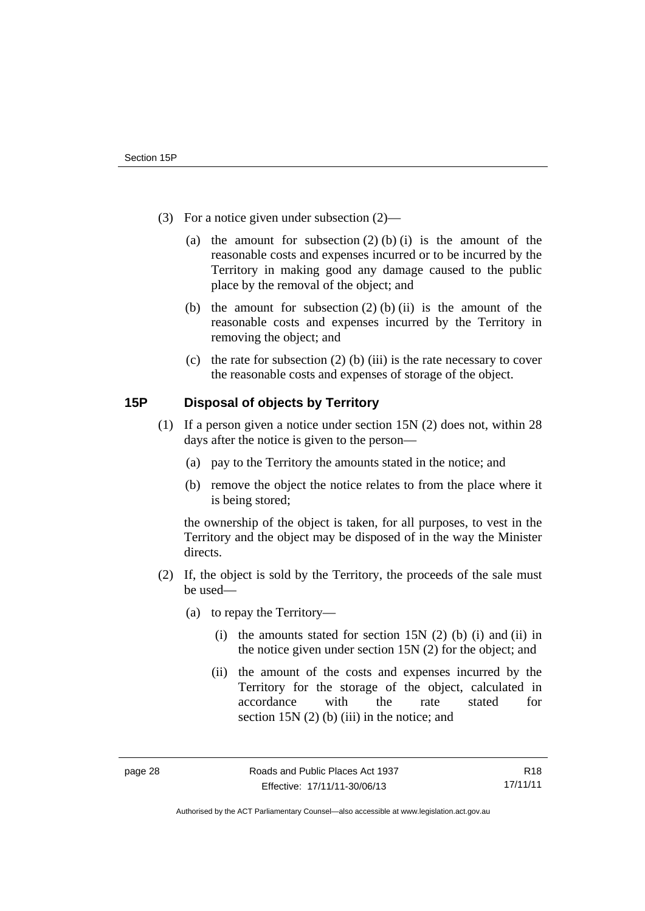- (3) For a notice given under subsection (2)—
	- (a) the amount for subsection  $(2)$  (b) (i) is the amount of the reasonable costs and expenses incurred or to be incurred by the Territory in making good any damage caused to the public place by the removal of the object; and
	- (b) the amount for subsection  $(2)$  (b) (ii) is the amount of the reasonable costs and expenses incurred by the Territory in removing the object; and
	- (c) the rate for subsection  $(2)$  (b) (iii) is the rate necessary to cover the reasonable costs and expenses of storage of the object.

# <span id="page-33-0"></span>**15P Disposal of objects by Territory**

- (1) If a person given a notice under section 15N (2) does not, within 28 days after the notice is given to the person—
	- (a) pay to the Territory the amounts stated in the notice; and
	- (b) remove the object the notice relates to from the place where it is being stored;

the ownership of the object is taken, for all purposes, to vest in the Territory and the object may be disposed of in the way the Minister directs.

- (2) If, the object is sold by the Territory, the proceeds of the sale must be used—
	- (a) to repay the Territory—
		- (i) the amounts stated for section  $15N(2)$  (b) (i) and (ii) in the notice given under section 15N (2) for the object; and
		- (ii) the amount of the costs and expenses incurred by the Territory for the storage of the object, calculated in accordance with the rate stated for section 15N (2) (b) (iii) in the notice; and

Authorised by the ACT Parliamentary Counsel—also accessible at www.legislation.act.gov.au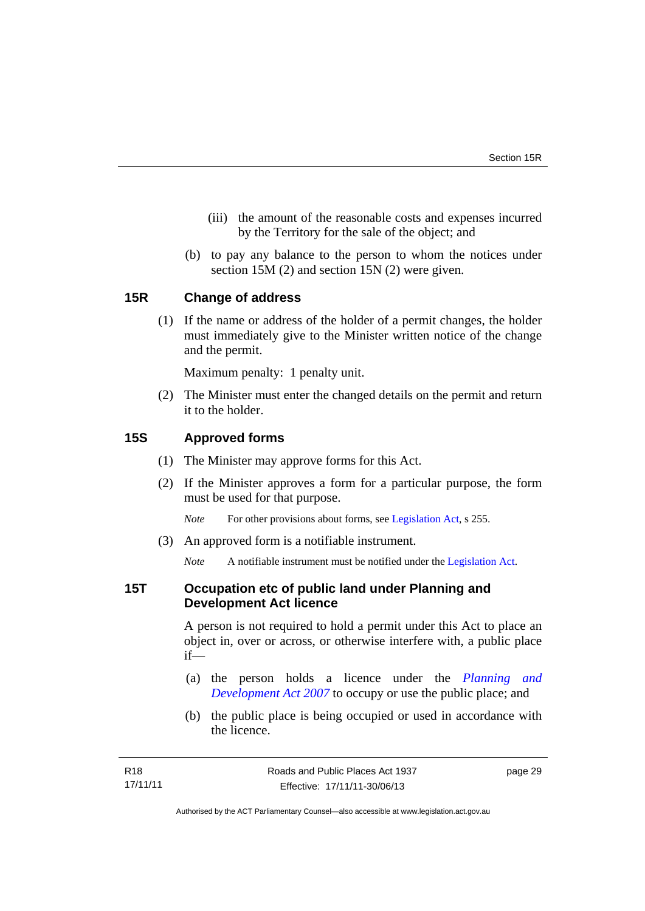- (iii) the amount of the reasonable costs and expenses incurred by the Territory for the sale of the object; and
- (b) to pay any balance to the person to whom the notices under section 15M (2) and section 15N (2) were given.

## <span id="page-34-0"></span>**15R Change of address**

(1) If the name or address of the holder of a permit changes, the holder must immediately give to the Minister written notice of the change and the permit.

Maximum penalty: 1 penalty unit.

 (2) The Minister must enter the changed details on the permit and return it to the holder.

## <span id="page-34-1"></span>**15S Approved forms**

- (1) The Minister may approve forms for this Act.
- (2) If the Minister approves a form for a particular purpose, the form must be used for that purpose.

*Note* For other provisions about forms, see [Legislation Act,](http://www.legislation.act.gov.au/a/2001-14) s 255.

(3) An approved form is a notifiable instrument.

*Note* A notifiable instrument must be notified under the [Legislation Act](http://www.legislation.act.gov.au/a/2001-14).

## <span id="page-34-2"></span>**15T Occupation etc of public land under Planning and Development Act licence**

A person is not required to hold a permit under this Act to place an object in, over or across, or otherwise interfere with, a public place if—

- (a) the person holds a licence under the *[Planning and](http://www.legislation.act.gov.au/a/2007-24)  [Development Act 2007](http://www.legislation.act.gov.au/a/2007-24)* to occupy or use the public place; and
- (b) the public place is being occupied or used in accordance with the licence.

page 29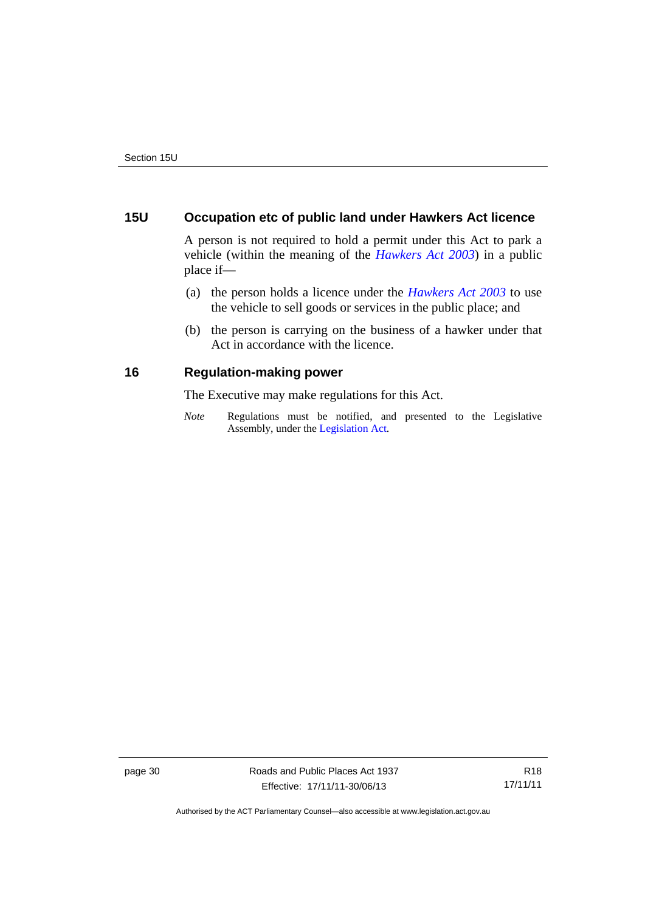# <span id="page-35-0"></span>**15U Occupation etc of public land under Hawkers Act licence**

A person is not required to hold a permit under this Act to park a vehicle (within the meaning of the *[Hawkers Act 2003](http://www.legislation.act.gov.au/a/2003-10)*) in a public place if—

- (a) the person holds a licence under the *[Hawkers Act 2003](http://www.legislation.act.gov.au/a/2003-10)* to use the vehicle to sell goods or services in the public place; and
- (b) the person is carrying on the business of a hawker under that Act in accordance with the licence.

## <span id="page-35-1"></span>**16 Regulation-making power**

The Executive may make regulations for this Act.

*Note* Regulations must be notified, and presented to the Legislative Assembly, under the [Legislation Act](http://www.legislation.act.gov.au/a/2001-14).

page 30 Roads and Public Places Act 1937 Effective: 17/11/11-30/06/13

R18 17/11/11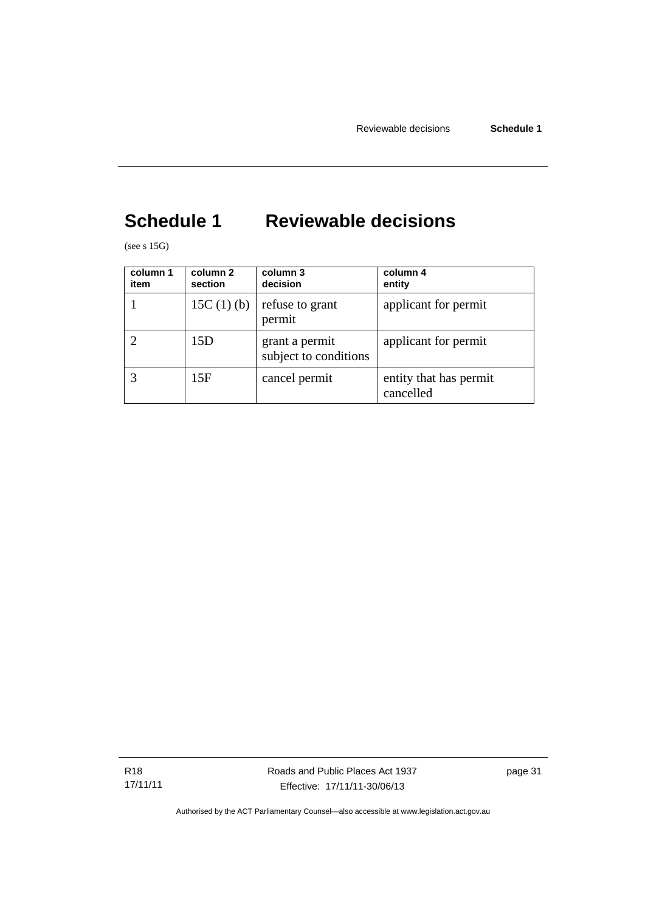# <span id="page-36-0"></span>**Schedule 1 Reviewable decisions**

(see s 15G)

| column 1<br>item | column 2<br>section | column 3<br>decision                    | column 4<br>entity                  |
|------------------|---------------------|-----------------------------------------|-------------------------------------|
|                  | 15C $(1)$ $(b)$     | refuse to grant<br>permit               | applicant for permit                |
|                  | 15D                 | grant a permit<br>subject to conditions | applicant for permit                |
|                  | 15F                 | cancel permit                           | entity that has permit<br>cancelled |

R18 17/11/11 Roads and Public Places Act 1937 Effective: 17/11/11-30/06/13

page 31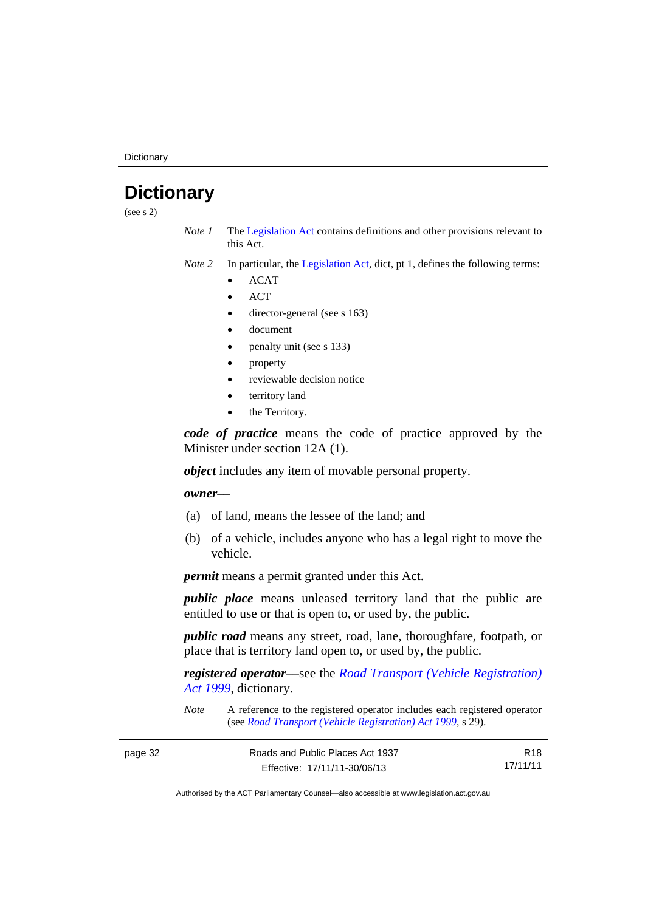**Dictionary** 

# <span id="page-37-0"></span>**Dictionary**

(see s 2)

- *Note 1* The [Legislation Act](http://www.legislation.act.gov.au/a/2001-14) contains definitions and other provisions relevant to this Act.
- *Note 2* In particular, the [Legislation Act,](http://www.legislation.act.gov.au/a/2001-14) dict, pt 1, defines the following terms:
	- ACAT
	- **ACT**
	- director-general (see s 163)
	- document
	- penalty unit (see s 133)
	- property
	- reviewable decision notice
	- territory land
	- the Territory.

*code of practice* means the code of practice approved by the Minister under section 12A (1).

*object* includes any item of movable personal property.

## *owner––*

- (a) of land, means the lessee of the land; and
- (b) of a vehicle, includes anyone who has a legal right to move the vehicle.

*permit* means a permit granted under this Act.

*public place* means unleased territory land that the public are entitled to use or that is open to, or used by, the public.

*public road* means any street, road, lane, thoroughfare, footpath, or place that is territory land open to, or used by, the public.

*registered operator*––see the *[Road Transport \(Vehicle Registration\)](http://www.legislation.act.gov.au/a/1999-81)  [Act 1999](http://www.legislation.act.gov.au/a/1999-81)*, dictionary.

*Note* A reference to the registered operator includes each registered operator (see *[Road Transport \(Vehicle Registration\) Act 1999](http://www.legislation.act.gov.au/a/1999-81)*, s 29).

| page 32 | Roads and Public Places Act 1937 | R18      |
|---------|----------------------------------|----------|
|         | Effective: 17/11/11-30/06/13     | 17/11/11 |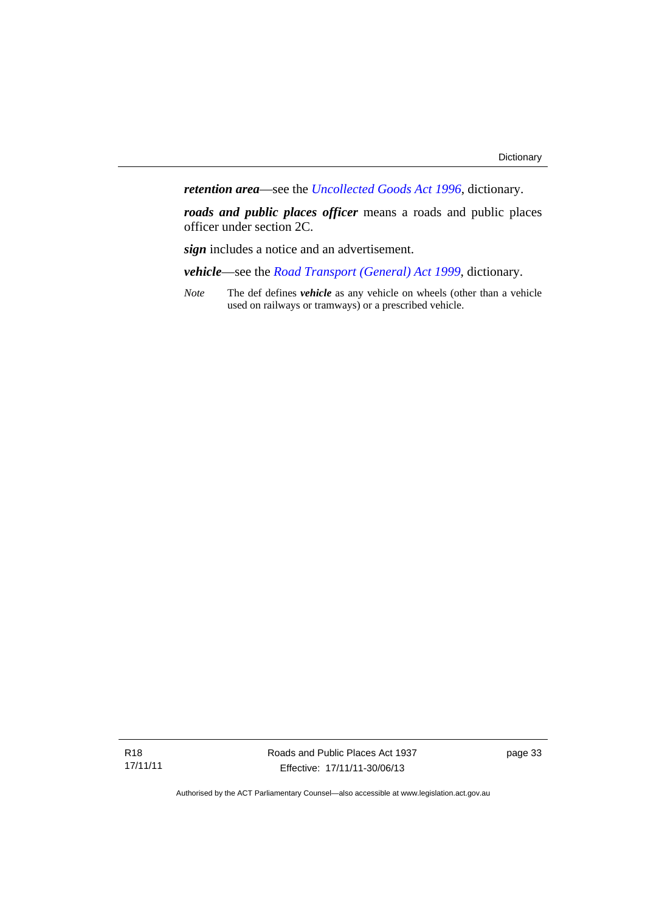*retention area*—see the *[Uncollected Goods Act 1996](http://www.legislation.act.gov.au/a/1996-86)*, dictionary.

*roads and public places officer* means a roads and public places officer under section 2C.

*sign* includes a notice and an advertisement.

*vehicle*—see the *[Road Transport \(General\) Act 1999](http://www.legislation.act.gov.au/a/1999-77)*, dictionary.

*Note* The def defines *vehicle* as any vehicle on wheels (other than a vehicle used on railways or tramways) or a prescribed vehicle.

Roads and Public Places Act 1937 Effective: 17/11/11-30/06/13

page 33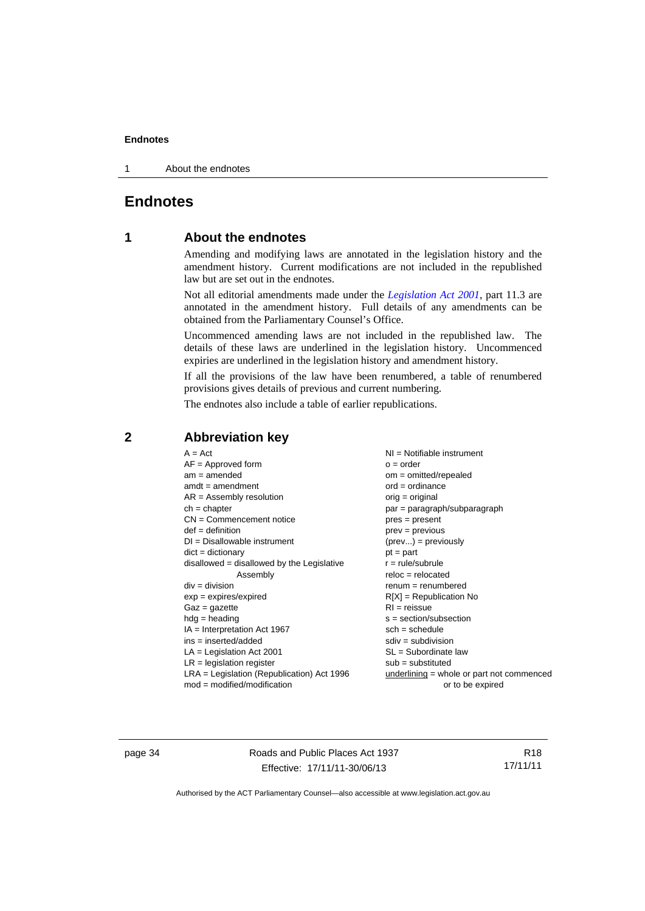1 About the endnotes

# <span id="page-39-0"></span>**Endnotes**

# **1 About the endnotes**

Amending and modifying laws are annotated in the legislation history and the amendment history. Current modifications are not included in the republished law but are set out in the endnotes.

Not all editorial amendments made under the *[Legislation Act 2001](http://www.legislation.act.gov.au/a/2001-14)*, part 11.3 are annotated in the amendment history. Full details of any amendments can be obtained from the Parliamentary Counsel's Office.

Uncommenced amending laws are not included in the republished law. The details of these laws are underlined in the legislation history. Uncommenced expiries are underlined in the legislation history and amendment history.

If all the provisions of the law have been renumbered, a table of renumbered provisions gives details of previous and current numbering.

The endnotes also include a table of earlier republications.

| $dict = dictionary$<br>$pt = part$<br>disallowed = disallowed by the Legislative<br>$r = rule/subrule$<br>$reloc = relocated$<br>Assembly<br>$div = division$<br>$renum = renumbered$<br>$R[X]$ = Republication No<br>$exp = expires/expired$<br>$RI = reissue$<br>$Gaz = gazette$<br>$hdg = heading$<br>$s = section/subsection$<br>$IA = Interpretation Act 1967$<br>$sch = schedule$<br>$ins = inserted/added$<br>$sdiv = subdivision$<br>$SL = Subordinate$ law<br>$LA =$ Legislation Act 2001<br>$LR =$ legislation register<br>$sub =$ substituted<br>$LRA =$ Legislation (Republication) Act 1996<br>underlining = whole or part not commenced |
|-------------------------------------------------------------------------------------------------------------------------------------------------------------------------------------------------------------------------------------------------------------------------------------------------------------------------------------------------------------------------------------------------------------------------------------------------------------------------------------------------------------------------------------------------------------------------------------------------------------------------------------------------------|
| $mod = modified/modification$<br>or to be expired                                                                                                                                                                                                                                                                                                                                                                                                                                                                                                                                                                                                     |

## <span id="page-39-2"></span>**2 Abbreviation key**

page 34 Roads and Public Places Act 1937 Effective: 17/11/11-30/06/13

R18 17/11/11

<span id="page-39-1"></span>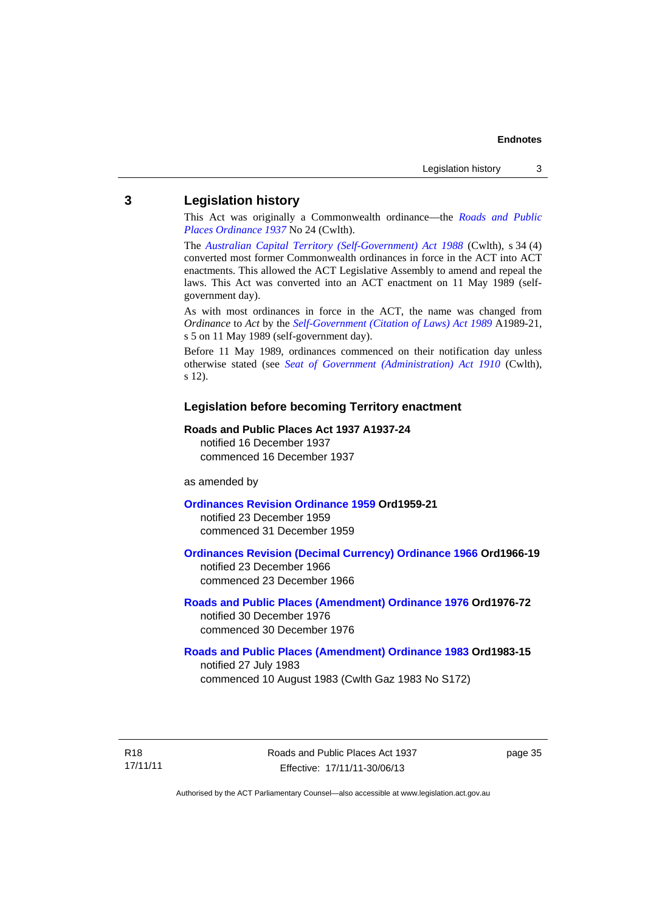## <span id="page-40-0"></span>**3 Legislation history**

This Act was originally a Commonwealth ordinance—the *[Roads and Public](http://www.legislation.act.gov.au/a/1937-24)  [Places Ordinance 1937](http://www.legislation.act.gov.au/a/1937-24)* No 24 (Cwlth).

The *[Australian Capital Territory \(Self-Government\) Act 1988](http://www.comlaw.gov.au/Current/C2004A03699)* (Cwlth), s 34 (4) converted most former Commonwealth ordinances in force in the ACT into ACT enactments. This allowed the ACT Legislative Assembly to amend and repeal the laws. This Act was converted into an ACT enactment on 11 May 1989 (selfgovernment day).

As with most ordinances in force in the ACT, the name was changed from *Ordinance* to *Act* by the *[Self-Government \(Citation of Laws\) Act 1989](http://www.legislation.act.gov.au/a/alt_ord1989-21/default.asp)* A1989-21, s 5 on 11 May 1989 (self-government day).

Before 11 May 1989, ordinances commenced on their notification day unless otherwise stated (see *[Seat of Government \(Administration\) Act 1910](http://www.comlaw.gov.au/Current/C1910A00025)* (Cwlth), s 12).

## **Legislation before becoming Territory enactment**

#### **Roads and Public Places Act 1937 A1937-24**

notified 16 December 1937 commenced 16 December 1937

as amended by

### **[Ordinances Revision Ordinance 1959](http://www.legislation.act.gov.au/a/1959-21) Ord1959-21**

notified 23 December 1959 commenced 31 December 1959

## **[Ordinances Revision \(Decimal Currency\) Ordinance 1966](http://www.legislation.act.gov.au/a/1966-19) Ord1966-19**  notified 23 December 1966

commenced 23 December 1966

### **[Roads and Public Places \(Amendment\) Ordinance 1976](http://www.legislation.act.gov.au/a/1976-72) Ord1976-72**  notified 30 December 1976 commenced 30 December 1976

#### **[Roads and Public Places \(Amendment\) Ordinance 1983](http://www.legislation.act.gov.au/a/1983-15) Ord1983-15**

notified 27 July 1983 commenced 10 August 1983 (Cwlth Gaz 1983 No S172)

R18 17/11/11 Roads and Public Places Act 1937 Effective: 17/11/11-30/06/13

page 35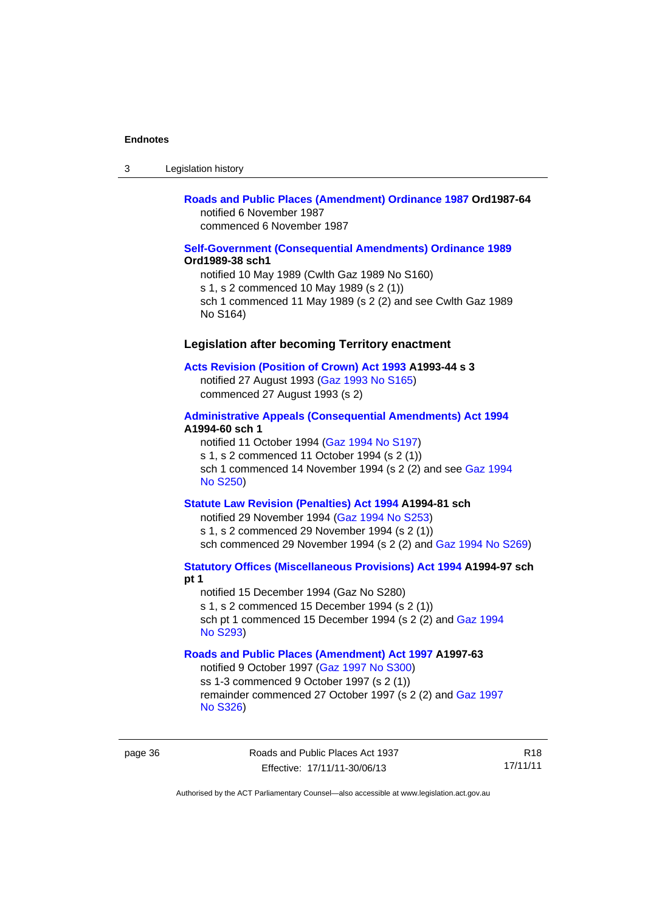| Legislation history<br>-3 |  |
|---------------------------|--|
|---------------------------|--|

## **[Roads and Public Places \(Amendment\) Ordinance 1987](http://www.legislation.act.gov.au/a/1987-64) Ord1987-64**  notified 6 November 1987 commenced 6 November 1987

### **[Self-Government \(Consequential Amendments\) Ordinance 1989](http://www.legislation.act.gov.au/a/1989-38) Ord1989-38 sch1**

notified 10 May 1989 (Cwlth Gaz 1989 No S160) s 1, s 2 commenced 10 May 1989 (s 2 (1)) sch 1 commenced 11 May 1989 (s 2 (2) and see Cwlth Gaz 1989 No S164)

## **Legislation after becoming Territory enactment**

#### **[Acts Revision \(Position of Crown\) Act 1993](http://www.legislation.act.gov.au/a/1993-44) A1993-44 s 3**

notified 27 August 1993 [\(Gaz 1993 No S165](http://www.legislation.act.gov.au/gaz/1993-S165/default.asp)) commenced 27 August 1993 (s 2)

### **[Administrative Appeals \(Consequential Amendments\) Act 1994](http://www.legislation.act.gov.au/a/1994-60) A1994-60 sch 1**

notified 11 October 1994 ([Gaz 1994 No S197\)](http://www.legislation.act.gov.au/gaz/1994-S197/default.asp) s 1, s 2 commenced 11 October 1994 (s 2 (1)) sch 1 commenced 14 November 1994 (s 2 (2) and see [Gaz 1994](http://www.legislation.act.gov.au/gaz/1994-S250/default.asp)  [No S250\)](http://www.legislation.act.gov.au/gaz/1994-S250/default.asp)

## **[Statute Law Revision \(Penalties\) Act 1994](http://www.legislation.act.gov.au/a/1994-81) A1994-81 sch**

notified 29 November 1994 [\(Gaz 1994 No S253](http://www.legislation.act.gov.au/gaz/1994-S253/default.asp)) s 1, s 2 commenced 29 November 1994 (s 2 (1)) sch commenced 29 November 1994 (s 2 (2) and [Gaz 1994 No S269](http://www.legislation.act.gov.au/gaz/1994-S269/default.asp))

## **[Statutory Offices \(Miscellaneous Provisions\) Act 1994](http://www.legislation.act.gov.au/a/1994-97) A1994-97 sch pt 1**

notified 15 December 1994 (Gaz No S280) s 1, s 2 commenced 15 December 1994 (s 2 (1)) sch pt 1 commenced 15 December 1994 (s 2 (2) and [Gaz 1994](http://www.legislation.act.gov.au/gaz/1994-S293/default.asp)  [No S293\)](http://www.legislation.act.gov.au/gaz/1994-S293/default.asp)

### **[Roads and Public Places \(Amendment\) Act 1997](http://www.legislation.act.gov.au/a/1997-63) A1997-63**

notified 9 October 1997 [\(Gaz 1997 No S300](http://www.legislation.act.gov.au/gaz/1997-S300/default.asp)) ss 1-3 commenced 9 October 1997 (s 2 (1)) remainder commenced 27 October 1997 (s 2 (2) and [Gaz 1997](http://www.legislation.act.gov.au/gaz/1997-S326/default.asp)  [No S326\)](http://www.legislation.act.gov.au/gaz/1997-S326/default.asp)

R18 17/11/11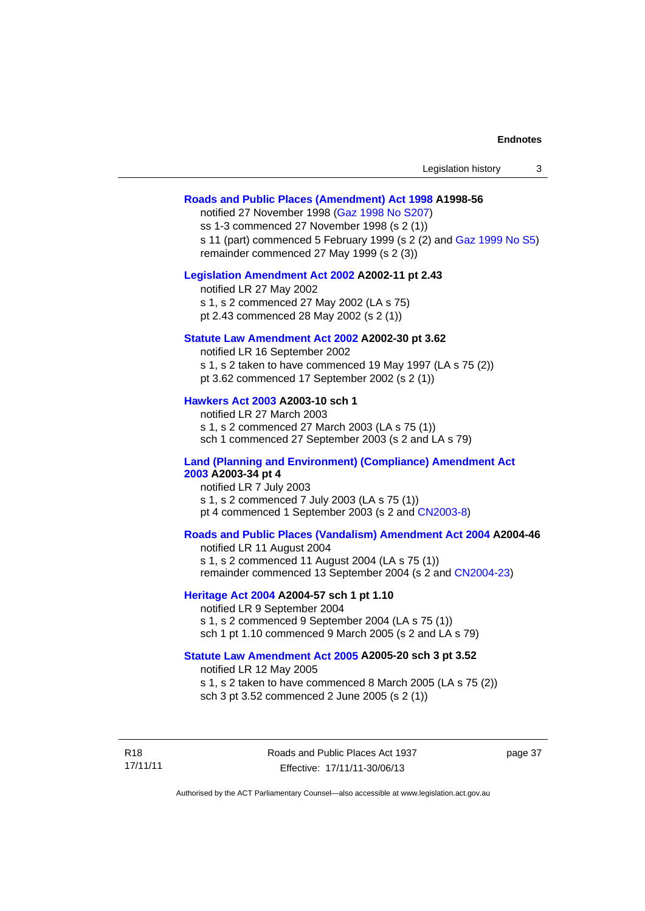| Legislation history |  |
|---------------------|--|
|---------------------|--|

#### **[Roads and Public Places \(Amendment\) Act 1998](http://www.legislation.act.gov.au/a/1998-56) A1998-56**

notified 27 November 1998 [\(Gaz 1998 No S207](http://www.legislation.act.gov.au/gaz/1998-S207/default.asp)) ss 1-3 commenced 27 November 1998 (s 2 (1)) s 11 (part) commenced 5 February 1999 (s 2 (2) and [Gaz 1999 No S5\)](http://www.legislation.act.gov.au/gaz/1999-S5/default.asp) remainder commenced 27 May 1999 (s 2 (3))

#### **[Legislation Amendment Act 2002](http://www.legislation.act.gov.au/a/2002-11) A2002-11 pt 2.43**

notified LR 27 May 2002 s 1, s 2 commenced 27 May 2002 (LA s 75) pt 2.43 commenced 28 May 2002 (s 2 (1))

## **[Statute Law Amendment Act 2002](http://www.legislation.act.gov.au/a/2002-30) A2002-30 pt 3.62**

notified LR 16 September 2002 s 1, s 2 taken to have commenced 19 May 1997 (LA s 75 (2)) pt 3.62 commenced 17 September 2002 (s 2 (1))

### **[Hawkers Act 2003](http://www.legislation.act.gov.au/a/2003-10) A2003-10 sch 1**

notified LR 27 March 2003 s 1, s 2 commenced 27 March 2003 (LA s 75 (1)) sch 1 commenced 27 September 2003 (s 2 and LA s 79)

#### **[Land \(Planning and Environment\) \(Compliance\) Amendment Act](http://www.legislation.act.gov.au/a/2003-34)  [2003](http://www.legislation.act.gov.au/a/2003-34) A2003-34 pt 4**

notified LR 7 July 2003 s 1, s 2 commenced 7 July 2003 (LA s 75 (1)) pt 4 commenced 1 September 2003 (s 2 and [CN2003-8](http://www.legislation.act.gov.au/cn/2003-8/default.asp))

## **[Roads and Public Places \(Vandalism\) Amendment Act 2004](http://www.legislation.act.gov.au/a/2004-46) A2004-46**

notified LR 11 August 2004 s 1, s 2 commenced 11 August 2004 (LA s 75 (1)) remainder commenced 13 September 2004 (s 2 and [CN2004-23\)](http://www.legislation.act.gov.au/cn/2004-23/default.asp)

#### **[Heritage Act 2004](http://www.legislation.act.gov.au/a/2004-57) A2004-57 sch 1 pt 1.10**

notified LR 9 September 2004 s 1, s 2 commenced 9 September 2004 (LA s 75 (1)) sch 1 pt 1.10 commenced 9 March 2005 (s 2 and LA s 79)

### **[Statute Law Amendment Act 2005](http://www.legislation.act.gov.au/a/2005-20) A2005-20 sch 3 pt 3.52**

notified LR 12 May 2005 s 1, s 2 taken to have commenced 8 March 2005 (LA s 75 (2)) sch 3 pt 3.52 commenced 2 June 2005 (s 2 (1))

R18 17/11/11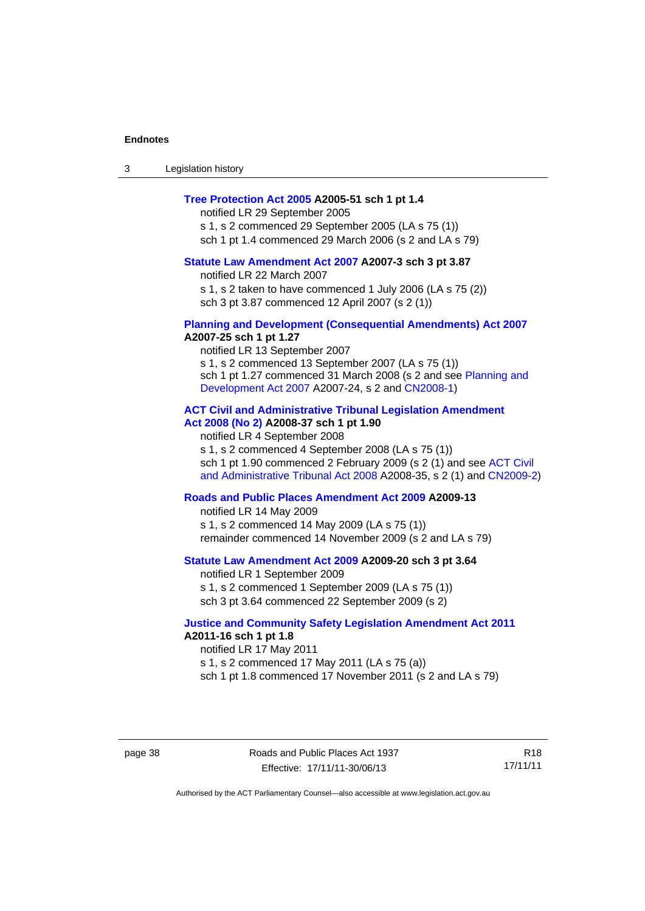| 3 | Legislation history |  |
|---|---------------------|--|
|---|---------------------|--|

## **[Tree Protection Act 2005](http://www.legislation.act.gov.au/a/2005-51) A2005-51 sch 1 pt 1.4**

notified LR 29 September 2005 s 1, s 2 commenced 29 September 2005 (LA s 75 (1)) sch 1 pt 1.4 commenced 29 March 2006 (s 2 and LA s 79)

# **[Statute Law Amendment Act 2007](http://www.legislation.act.gov.au/a/2007-3) A2007-3 sch 3 pt 3.87**

notified LR 22 March 2007 s 1, s 2 taken to have commenced 1 July 2006 (LA s 75 (2)) sch 3 pt 3.87 commenced 12 April 2007 (s 2 (1))

#### **[Planning and Development \(Consequential Amendments\) Act 2007](http://www.legislation.act.gov.au/a/2007-25) A2007-25 sch 1 pt 1.27**

notified LR 13 September 2007 s 1, s 2 commenced 13 September 2007 (LA s 75 (1)) sch 1 pt 1.27 commenced 31 March 2008 (s 2 and see [Planning and](http://www.legislation.act.gov.au/a/2007-24)  [Development Act 2007](http://www.legislation.act.gov.au/a/2007-24) A2007-24, s 2 and [CN2008-1](http://www.legislation.act.gov.au/cn/2008-1/default.asp))

# **[ACT Civil and Administrative Tribunal Legislation Amendment](http://www.legislation.act.gov.au/a/2008-37)  [Act 2008 \(No 2\)](http://www.legislation.act.gov.au/a/2008-37) A2008-37 sch 1 pt 1.90**

notified LR 4 September 2008

s 1, s 2 commenced 4 September 2008 (LA s 75 (1)) sch 1 pt 1.90 commenced 2 February 2009 (s 2 (1) and see [ACT Civil](http://www.legislation.act.gov.au/a/2008-35)  [and Administrative Tribunal Act 2008](http://www.legislation.act.gov.au/a/2008-35) A2008-35, s 2 (1) and [CN2009-2](http://www.legislation.act.gov.au/cn/2009-2/default.asp))

## **[Roads and Public Places Amendment Act 2009](http://www.legislation.act.gov.au/a/2009-13) A2009-13**

notified LR 14 May 2009 s 1, s 2 commenced 14 May 2009 (LA s 75 (1)) remainder commenced 14 November 2009 (s 2 and LA s 79)

### **[Statute Law Amendment Act 2009](http://www.legislation.act.gov.au/a/2009-20) A2009-20 sch 3 pt 3.64**

notified LR 1 September 2009 s 1, s 2 commenced 1 September 2009 (LA s 75 (1)) sch 3 pt 3.64 commenced 22 September 2009 (s 2)

### **[Justice and Community Safety Legislation Amendment Act 2011](http://www.legislation.act.gov.au/a/2011-16) A2011-16 sch 1 pt 1.8**

notified LR 17 May 2011 s 1, s 2 commenced 17 May 2011 (LA s 75 (a)) sch 1 pt 1.8 commenced 17 November 2011 (s 2 and LA s 79)

R18 17/11/11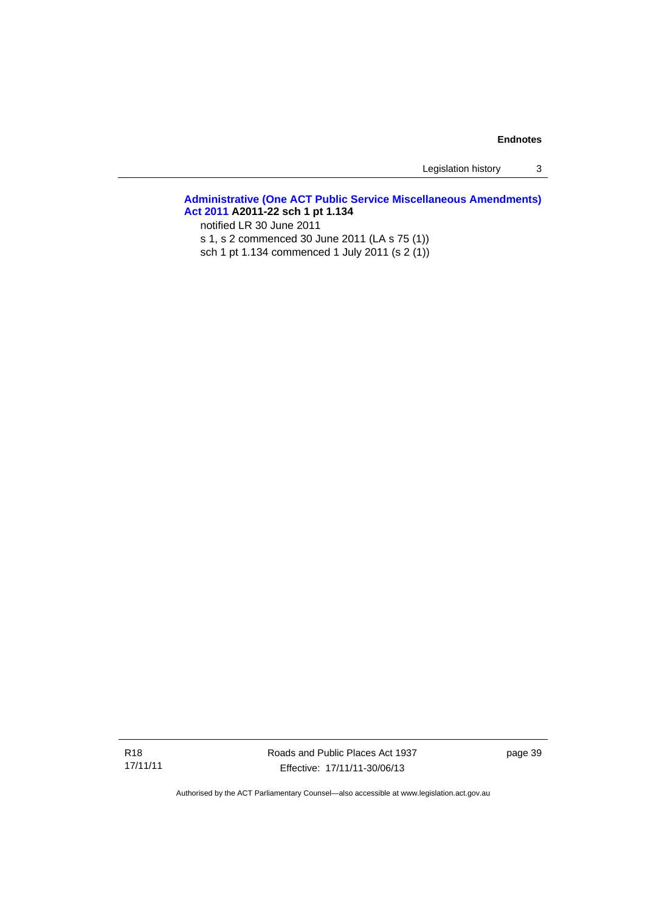Legislation history 3

## **[Administrative \(One ACT Public Service Miscellaneous Amendments\)](http://www.legislation.act.gov.au/a/2011-22)  [Act 2011](http://www.legislation.act.gov.au/a/2011-22) A2011-22 sch 1 pt 1.134**

notified LR 30 June 2011

s 1, s 2 commenced 30 June 2011 (LA s 75 (1))

sch 1 pt 1.134 commenced 1 July 2011 (s 2 (1))

Roads and Public Places Act 1937 Effective: 17/11/11-30/06/13

page 39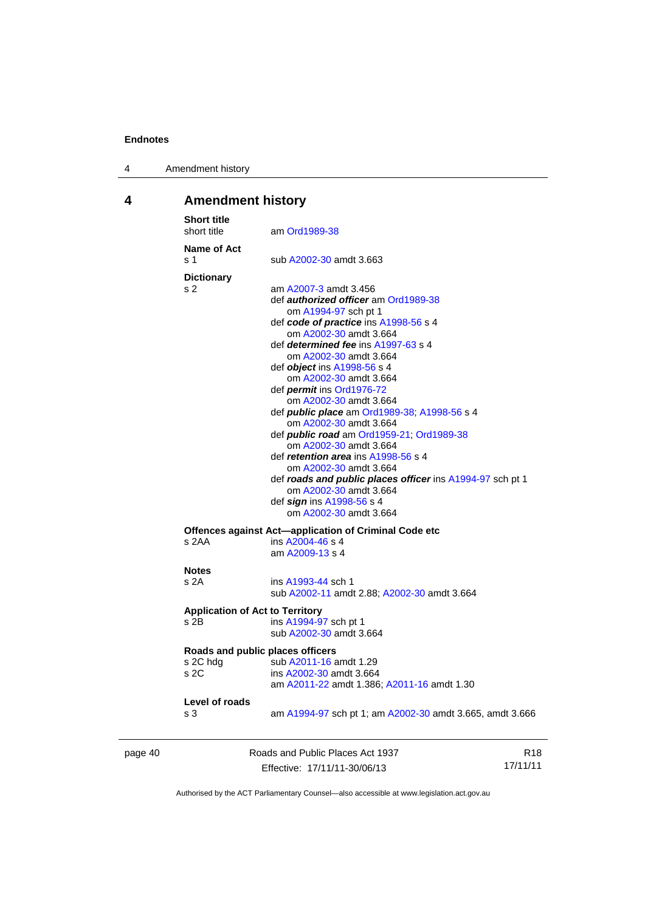4 Amendment history

# <span id="page-45-0"></span>**4 Amendment history**

| <b>Short title</b><br>short title   |                                        | am Ord1989-38                                                                                                                                                                                                                                                                                                                                                                                                                                                                                                                                                                                                                                                                                                                         |
|-------------------------------------|----------------------------------------|---------------------------------------------------------------------------------------------------------------------------------------------------------------------------------------------------------------------------------------------------------------------------------------------------------------------------------------------------------------------------------------------------------------------------------------------------------------------------------------------------------------------------------------------------------------------------------------------------------------------------------------------------------------------------------------------------------------------------------------|
| s 1                                 | Name of Act                            | sub A2002-30 amdt 3.663                                                                                                                                                                                                                                                                                                                                                                                                                                                                                                                                                                                                                                                                                                               |
| <b>Dictionary</b><br>s <sub>2</sub> |                                        | am A2007-3 amdt 3.456<br>def <b>authorized officer</b> am Ord1989-38<br>om A1994-97 sch pt 1<br>def code of practice ins A1998-56 s 4<br>om A2002-30 amdt 3.664<br>def determined fee ins A1997-63 s 4<br>om A2002-30 amdt 3.664<br>def object ins A1998-56 s 4<br>om A2002-30 amdt 3.664<br>def <i>permit</i> ins Ord1976-72<br>om A2002-30 amdt 3.664<br>def <i>public place</i> am Ord1989-38; A1998-56 s 4<br>om A2002-30 amdt 3.664<br>def <i>public road</i> am Ord1959-21, Ord1989-38<br>om A2002-30 amdt 3.664<br>def retention area ins A1998-56 s 4<br>om A2002-30 amdt 3.664<br>def roads and public places officer ins A1994-97 sch pt 1<br>om A2002-30 amdt 3.664<br>def sign ins A1998-56 s 4<br>om A2002-30 amdt 3.664 |
| s 2AA                               |                                        | Offences against Act—application of Criminal Code etc<br>ins A2004-46 s 4<br>am A2009-13 s 4                                                                                                                                                                                                                                                                                                                                                                                                                                                                                                                                                                                                                                          |
| <b>Notes</b><br>s <sub>2A</sub>     |                                        | ins A1993-44 sch 1<br>sub A2002-11 amdt 2.88; A2002-30 amdt 3.664                                                                                                                                                                                                                                                                                                                                                                                                                                                                                                                                                                                                                                                                     |
| s 2B                                | <b>Application of Act to Territory</b> | ins A1994-97 sch pt 1<br>sub A2002-30 amdt 3.664                                                                                                                                                                                                                                                                                                                                                                                                                                                                                                                                                                                                                                                                                      |
| s 2C hdg<br>s <sub>2C</sub>         |                                        | Roads and public places officers<br>sub A2011-16 amdt 1.29<br>ins A2002-30 amdt 3.664<br>am A2011-22 amdt 1.386; A2011-16 amdt 1.30                                                                                                                                                                                                                                                                                                                                                                                                                                                                                                                                                                                                   |
| s 3                                 | Level of roads                         | am A1994-97 sch pt 1; am A2002-30 amdt 3.665, amdt 3.666                                                                                                                                                                                                                                                                                                                                                                                                                                                                                                                                                                                                                                                                              |
|                                     |                                        |                                                                                                                                                                                                                                                                                                                                                                                                                                                                                                                                                                                                                                                                                                                                       |

| page 40 | Roads and Public Places Act 1937 | R18      |  |
|---------|----------------------------------|----------|--|
|         | Effective: 17/11/11-30/06/13     | 17/11/11 |  |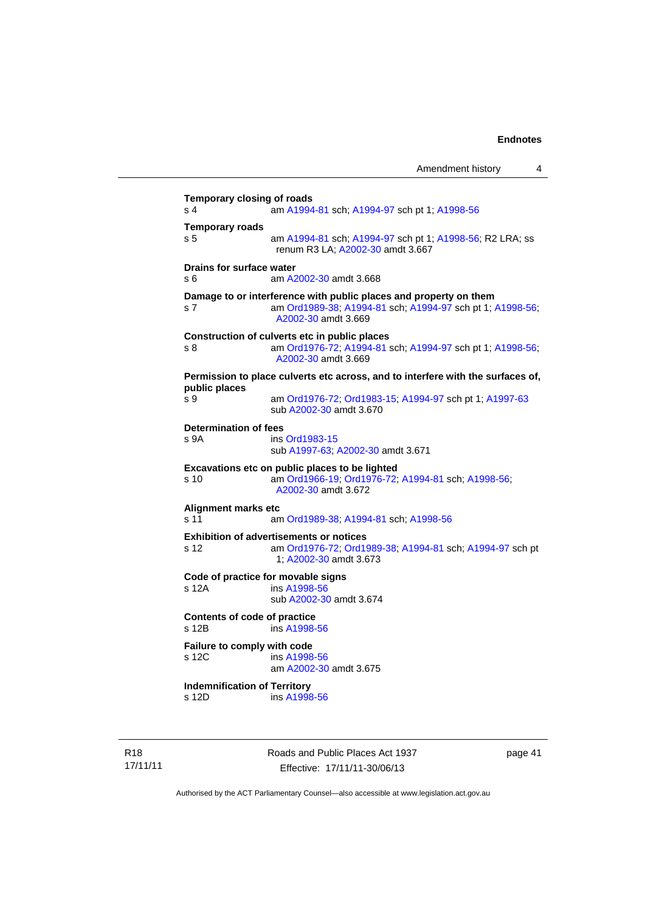| <b>Temporary closing of roads</b><br>am A1994-81 sch; A1994-97 sch pt 1; A1998-56<br>renum R3 LA; A2002-30 amdt 3.667<br>Drains for surface water<br>am A2002-30 amdt 3.668<br>Damage to or interference with public places and property on them<br>A2002-30 amdt 3.669<br>Construction of culverts etc in public places<br>A2002-30 amdt 3.669<br>sub A2002-30 amdt 3.670 |
|----------------------------------------------------------------------------------------------------------------------------------------------------------------------------------------------------------------------------------------------------------------------------------------------------------------------------------------------------------------------------|
| am A1994-81 sch; A1994-97 sch pt 1; A1998-56; R2 LRA; ss<br>am Ord1989-38, A1994-81 sch; A1994-97 sch pt 1; A1998-56;                                                                                                                                                                                                                                                      |
|                                                                                                                                                                                                                                                                                                                                                                            |
|                                                                                                                                                                                                                                                                                                                                                                            |
|                                                                                                                                                                                                                                                                                                                                                                            |
|                                                                                                                                                                                                                                                                                                                                                                            |
| am Ord1976-72, A1994-81 sch; A1994-97 sch pt 1; A1998-56;<br>Permission to place culverts etc across, and to interfere with the surfaces of,<br>am Ord1976-72, Ord1983-15, A1994-97 sch pt 1; A1997-63                                                                                                                                                                     |
|                                                                                                                                                                                                                                                                                                                                                                            |
|                                                                                                                                                                                                                                                                                                                                                                            |
|                                                                                                                                                                                                                                                                                                                                                                            |
|                                                                                                                                                                                                                                                                                                                                                                            |
| ins Ord1983-15<br>sub A1997-63; A2002-30 amdt 3.671                                                                                                                                                                                                                                                                                                                        |
| Excavations etc on public places to be lighted                                                                                                                                                                                                                                                                                                                             |
| am Ord1966-19; Ord1976-72; A1994-81 sch; A1998-56;<br>A2002-30 amdt 3.672                                                                                                                                                                                                                                                                                                  |
|                                                                                                                                                                                                                                                                                                                                                                            |
| am Ord1989-38, A1994-81 sch; A1998-56                                                                                                                                                                                                                                                                                                                                      |
| <b>Exhibition of advertisements or notices</b><br>am Ord1976-72, Ord1989-38; A1994-81 sch; A1994-97 sch pt<br>1, A2002-30 amdt 3.673                                                                                                                                                                                                                                       |
| Code of practice for movable signs                                                                                                                                                                                                                                                                                                                                         |
| ins A1998-56<br>sub A2002-30 amdt 3.674                                                                                                                                                                                                                                                                                                                                    |
| Contents of code of practice<br>ins A1998-56                                                                                                                                                                                                                                                                                                                               |
| <b>Failure to comply with code</b>                                                                                                                                                                                                                                                                                                                                         |
| ins A1998-56<br>am A2002-30 amdt 3.675                                                                                                                                                                                                                                                                                                                                     |
|                                                                                                                                                                                                                                                                                                                                                                            |
|                                                                                                                                                                                                                                                                                                                                                                            |

R18 17/11/11 Roads and Public Places Act 1937 Effective: 17/11/11-30/06/13

page 41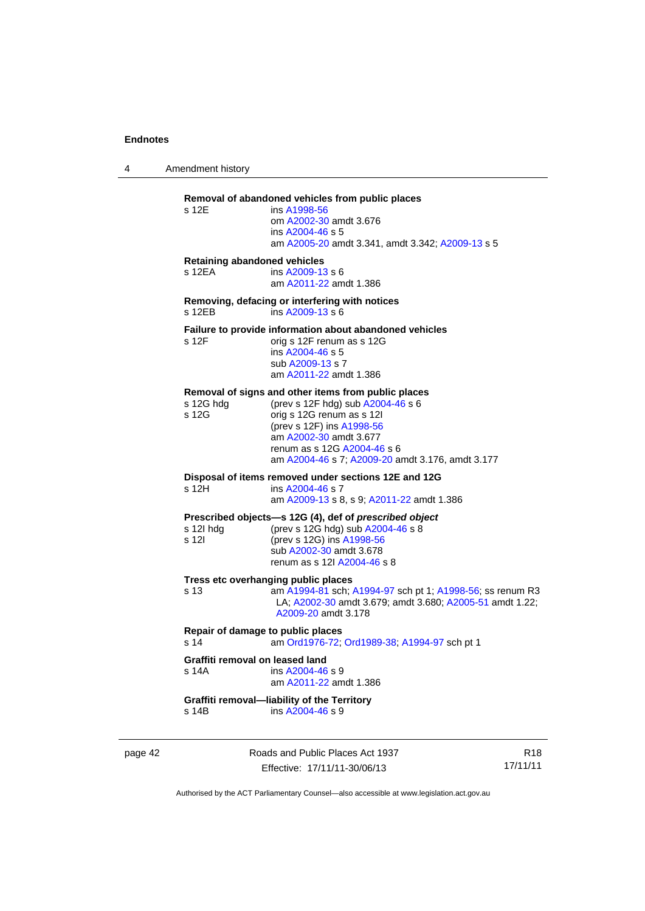4 Amendment history

# **Removal of abandoned vehicles from public places**

| s 12E | ins A1998-56                                     |
|-------|--------------------------------------------------|
|       | om A2002-30 amdt 3.676                           |
|       | ins A2004-46 s 5                                 |
|       | am A2005-20 amdt 3.341, amdt 3.342; A2009-13 s 5 |

#### **Retaining abandoned vehicles**

s 12EA ins [A2009-13](http://www.legislation.act.gov.au/a/2009-13) s 6 am [A2011-22](http://www.legislation.act.gov.au/a/2011-22) amdt 1.386

#### **Removing, defacing or interfering with notices**  s 12EB ins [A2009-13](http://www.legislation.act.gov.au/a/2009-13) s 6

# **Failure to provide information about abandoned vehicles**<br>s 12F orig s 12F renum as s 12G

orig s 12F renum as s 12G ins [A2004-46](http://www.legislation.act.gov.au/a/2004-46) s 5 sub [A2009-13](http://www.legislation.act.gov.au/a/2009-13) s 7 am [A2011-22](http://www.legislation.act.gov.au/a/2011-22) amdt 1.386

### **Removal of signs and other items from public places**

| s 12G hdg<br>s 12G              | (prev s 12F hdg) sub A2004-46 s 6<br>orig s 12G renum as s 12l<br>(prev s 12F) ins A1998-56<br>am A2002-30 amdt 3.677<br>renum as s 12G A2004-46 s 6<br>am A2004-46 s 7; A2009-20 amdt 3.176, amdt 3.177 |
|---------------------------------|----------------------------------------------------------------------------------------------------------------------------------------------------------------------------------------------------------|
| s 12H                           | Disposal of items removed under sections 12E and 12G<br>ins A2004-46 s 7<br>am A2009-13 s 8, s 9; A2011-22 amdt 1.386                                                                                    |
| s 12I hda<br>s 12I              | Prescribed objects—s 12G (4), def of prescribed object<br>(prev s 12G hdg) sub A2004-46 s 8<br>(prev s 12G) ins A1998-56<br>sub A2002-30 amdt 3.678<br>renum as s 12l A2004-46 s 8                       |
| s 13                            | Tress etc overhanging public places<br>am A1994-81 sch; A1994-97 sch pt 1; A1998-56; ss renum R3<br>LA; A2002-30 amdt 3.679; amdt 3.680; A2005-51 amdt 1.22;<br>A2009-20 amdt 3.178                      |
| s 14                            | Repair of damage to public places<br>am Ord1976-72; Ord1989-38; A1994-97 sch pt 1                                                                                                                        |
| Graffiti removal on leased land |                                                                                                                                                                                                          |

s 14A ins [A2004-46](http://www.legislation.act.gov.au/a/2004-46) s 9 am [A2011-22](http://www.legislation.act.gov.au/a/2011-22) amdt 1.386

#### **Graffiti removal—liability of the Territory**  ins [A2004-46](http://www.legislation.act.gov.au/a/2004-46) s 9

page 42 Roads and Public Places Act 1937 Effective: 17/11/11-30/06/13

R18 17/11/11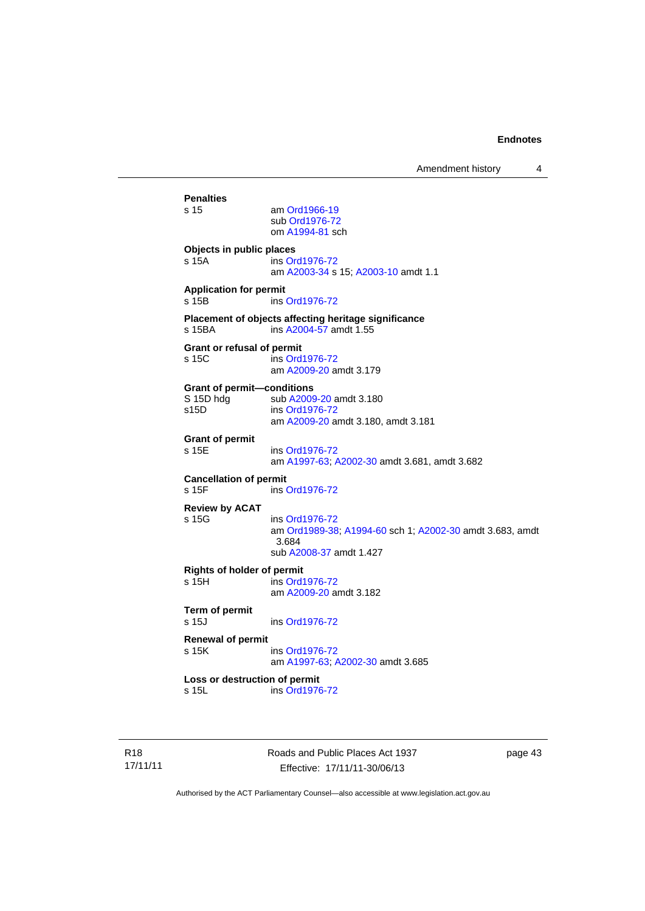| Amendment history |  |
|-------------------|--|
|-------------------|--|

**Penalties**  am [Ord1966-19](http://www.legislation.act.gov.au/a/1966-19) sub [Ord1976-72](http://www.legislation.act.gov.au/a/1976-72) om [A1994-81](http://www.legislation.act.gov.au/a/1994-81) sch **Objects in public places**  s 15A ins [Ord1976-72](http://www.legislation.act.gov.au/a/1976-72) am [A2003-34](http://www.legislation.act.gov.au/a/2003-34) s 15; [A2003-10](http://www.legislation.act.gov.au/a/2003-10) amdt 1.1 **Application for permit**  ins [Ord1976-72](http://www.legislation.act.gov.au/a/1976-72) **Placement of objects affecting heritage significance**  s 15BA ins [A2004-57](http://www.legislation.act.gov.au/a/2004-57) amdt 1.55 **Grant or refusal of permit**  s 15C ins [Ord1976-72](http://www.legislation.act.gov.au/a/1976-72) am [A2009-20](http://www.legislation.act.gov.au/a/2009-20) amdt 3.179 **Grant of permit—conditions**  S 15D hdg sub [A2009-20](http://www.legislation.act.gov.au/a/2009-20) amdt 3.180<br>s15D ins Ord1976-72 ins [Ord1976-72](http://www.legislation.act.gov.au/a/1976-72) am [A2009-20](http://www.legislation.act.gov.au/a/2009-20) amdt 3.180, amdt 3.181 **Grant of permit**  s 15E ins [Ord1976-72](http://www.legislation.act.gov.au/a/1976-72) am [A1997-63](http://www.legislation.act.gov.au/a/1997-63); [A2002-30](http://www.legislation.act.gov.au/a/2002-30) amdt 3.681, amdt 3.682 **Cancellation of permit**  s 15F ins [Ord1976-72](http://www.legislation.act.gov.au/a/1976-72) **Review by ACAT**  s 15G ins [Ord1976-72](http://www.legislation.act.gov.au/a/1976-72) am [Ord1989-38](http://www.legislation.act.gov.au/a/1989-38); [A1994-60](http://www.legislation.act.gov.au/a/1994-60) sch 1; [A2002-30](http://www.legislation.act.gov.au/a/2002-30) amdt 3.683, amdt 3.684 sub [A2008-37](http://www.legislation.act.gov.au/a/2008-37) amdt 1.427 **Rights of holder of permit**  s 15H ins [Ord1976-72](http://www.legislation.act.gov.au/a/1976-72) am [A2009-20](http://www.legislation.act.gov.au/a/2009-20) amdt 3.182 **Term of permit**  s 15J ins [Ord1976-72](http://www.legislation.act.gov.au/a/1976-72) **Renewal of permit**  s 15K ins [Ord1976-72](http://www.legislation.act.gov.au/a/1976-72) am [A1997-63](http://www.legislation.act.gov.au/a/1997-63); [A2002-30](http://www.legislation.act.gov.au/a/2002-30) amdt 3.685 **Loss or destruction of permit**  s 15L ins [Ord1976-72](http://www.legislation.act.gov.au/a/1976-72)

Roads and Public Places Act 1937 Effective: 17/11/11-30/06/13

page 43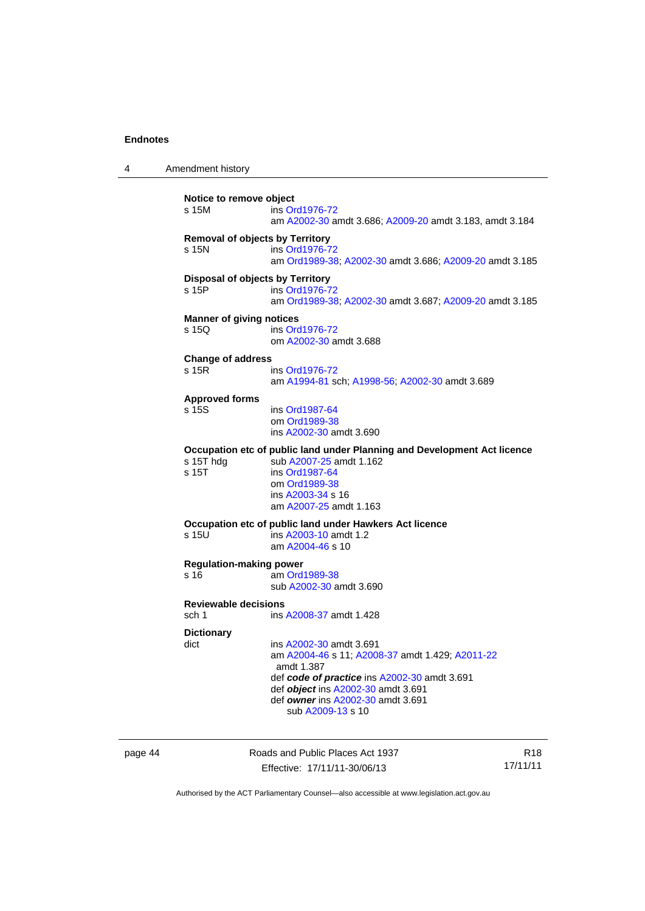4 Amendment history **Notice to remove object**  s 15M ins [Ord1976-72](http://www.legislation.act.gov.au/a/1976-72) am [A2002-30](http://www.legislation.act.gov.au/a/2002-30) amdt 3.686; [A2009-20](http://www.legislation.act.gov.au/a/2009-20) amdt 3.183, amdt 3.184 **Removal of objects by Territory**  s 15N ins [Ord1976-72](http://www.legislation.act.gov.au/a/1976-72) am [Ord1989-38](http://www.legislation.act.gov.au/a/1989-38); [A2002-30](http://www.legislation.act.gov.au/a/2002-30) amdt 3.686; [A2009-20](http://www.legislation.act.gov.au/a/2009-20) amdt 3.185 **Disposal of objects by Territory**  s 15P ins [Ord1976-72](http://www.legislation.act.gov.au/a/1976-72) am [Ord1989-38](http://www.legislation.act.gov.au/a/1989-38); [A2002-30](http://www.legislation.act.gov.au/a/2002-30) amdt 3.687; [A2009-20](http://www.legislation.act.gov.au/a/2009-20) amdt 3.185 **Manner of giving notices**  s 15Q ins [Ord1976-72](http://www.legislation.act.gov.au/a/1976-72) om [A2002-30](http://www.legislation.act.gov.au/a/2002-30) amdt 3.688 **Change of address**  s 15R ins [Ord1976-72](http://www.legislation.act.gov.au/a/1976-72) am [A1994-81](http://www.legislation.act.gov.au/a/1994-81) sch; [A1998-56](http://www.legislation.act.gov.au/a/1998-56); [A2002-30](http://www.legislation.act.gov.au/a/2002-30) amdt 3.689 **Approved forms**  ins [Ord1987-64](http://www.legislation.act.gov.au/a/1987-64) om [Ord1989-38](http://www.legislation.act.gov.au/a/1989-38) ins [A2002-30](http://www.legislation.act.gov.au/a/2002-30) amdt 3.690 **Occupation etc of public land under Planning and Development Act licence**  s 15T hdg sub [A2007-25](http://www.legislation.act.gov.au/a/2007-25) amdt 1.162 s 15T ins [Ord1987-64](http://www.legislation.act.gov.au/a/1987-64) om [Ord1989-38](http://www.legislation.act.gov.au/a/1989-38) ins [A2003-34](http://www.legislation.act.gov.au/a/2003-34) s 16 am [A2007-25](http://www.legislation.act.gov.au/a/2007-25) amdt 1.163 **Occupation etc of public land under Hawkers Act licence**  s 15U ins [A2003-10](http://www.legislation.act.gov.au/a/2003-10) amdt 1.2 am [A2004-46](http://www.legislation.act.gov.au/a/2004-46) s 10 **Regulation-making power**  - .<br>| am [Ord1989-38](http://www.legislation.act.gov.au/a/1989-38) sub [A2002-30](http://www.legislation.act.gov.au/a/2002-30) amdt 3.690 **Reviewable decisions**  sch 1 ins [A2008-37](http://www.legislation.act.gov.au/a/2008-37) amdt 1.428 **Dictionary**  ins [A2002-30](http://www.legislation.act.gov.au/a/2002-30) amdt 3.691 am [A2004-46](http://www.legislation.act.gov.au/a/2004-46) s 11; [A2008-37](http://www.legislation.act.gov.au/a/2008-37) amdt 1.429; [A2011-22](http://www.legislation.act.gov.au/a/2011-22) amdt 1.387 def *code of practice* ins [A2002-30](http://www.legislation.act.gov.au/a/2002-30) amdt 3.691 def *object* ins [A2002-30](http://www.legislation.act.gov.au/a/2002-30) amdt 3.691 def *owner* ins [A2002-30](http://www.legislation.act.gov.au/a/2002-30) amdt 3.691 sub [A2009-13](http://www.legislation.act.gov.au/a/2009-13) s 10

page 44 Roads and Public Places Act 1937 Effective: 17/11/11-30/06/13

R18 17/11/11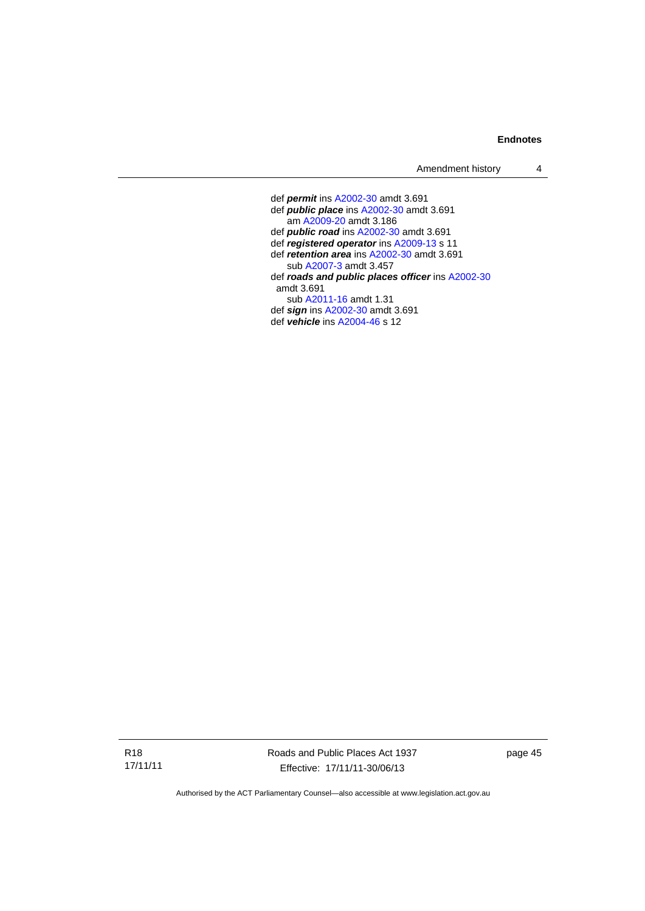Amendment history 4

 def *permit* ins [A2002-30](http://www.legislation.act.gov.au/a/2002-30) amdt 3.691 def *public place* ins [A2002-30](http://www.legislation.act.gov.au/a/2002-30) amdt 3.691 am [A2009-20](http://www.legislation.act.gov.au/a/2009-20) amdt 3.186 def *public road* ins [A2002-30](http://www.legislation.act.gov.au/a/2002-30) amdt 3.691 def *registered operator* ins [A2009-13](http://www.legislation.act.gov.au/a/2009-13) s 11 def *retention area* ins [A2002-30](http://www.legislation.act.gov.au/a/2002-30) amdt 3.691 sub [A2007-3](http://www.legislation.act.gov.au/a/2007-3) amdt 3.457 def *roads and public places officer* ins [A2002-30](http://www.legislation.act.gov.au/a/2002-30) amdt 3.691 sub [A2011-16](http://www.legislation.act.gov.au/a/2011-16) amdt 1.31 def *sign* ins [A2002-30](http://www.legislation.act.gov.au/a/2002-30) amdt 3.691 def *vehicle* ins [A2004-46](http://www.legislation.act.gov.au/a/2004-46) s 12

R18 17/11/11 Roads and Public Places Act 1937 Effective: 17/11/11-30/06/13

page 45